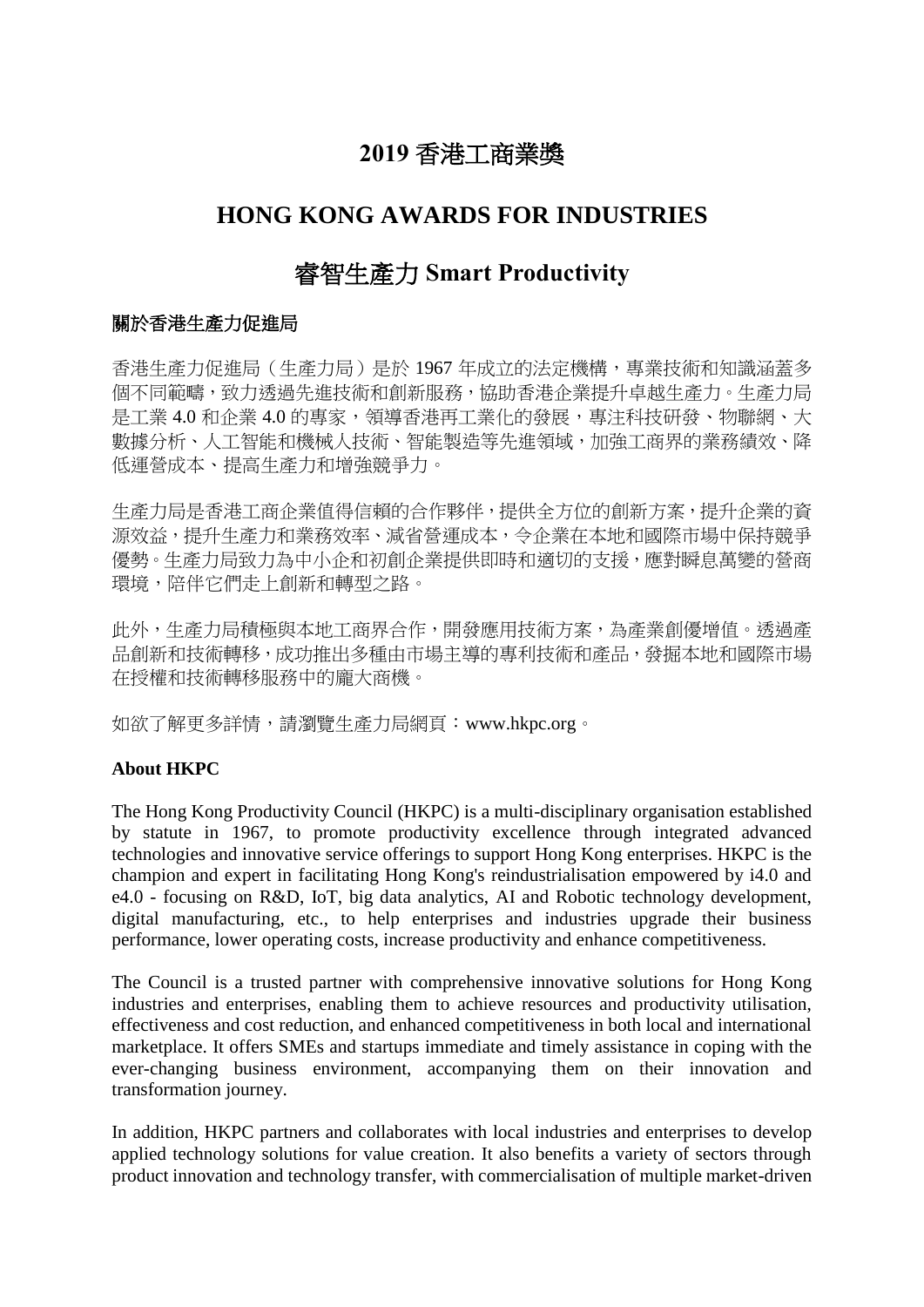## **2019** 香港工商業獎

## **HONG KONG AWARDS FOR INDUSTRIES**

## 睿智生產力 **Smart Productivity**

#### 關於香港生產力促進局

香港生產力促進局(生產力局)是於 1967 年成立的法定機構,專業技術和知識涵蓋多 個不同範疇,致力透過先進技術和創新服務,協助香港企業提升卓越生產力。生產力局 是工業 4.0 和企業 4.0 的專家,領導香港再工業化的發展,專注科技研發、物聯網、大 數據分析、人工智能和機械人技術、智能製造等先進領域,加強工商界的業務績效、降 低運營成本、提高生產力和增強競爭力。

生產力局是香港工商企業值得信賴的合作夥伴,提供全方位的創新方案,提升企業的資 源效益,提升生產力和業務效率、減省營運成本,令企業在本地和國際市場中保持競爭 優勢。生產力局致力為中小企和初創企業提供即時和適切的支援,應對瞬息萬變的營商 環境,陪伴它們走上創新和轉型之路。

此外,生產力局積極與本地工商界合作,開發應用技術方案,為產業創優增值。透過產 品創新和技術轉移,成功推出多種由市場主導的專利技術和產品,發掘本地和國際市場 在授權和技術轉移服務中的龐大商機。

如欲了解更多詳情,請瀏覽生產力局網頁:www.hkpc.org。

#### **About HKPC**

The Hong Kong Productivity Council (HKPC) is a multi-disciplinary organisation established by statute in 1967, to promote productivity excellence through integrated advanced technologies and innovative service offerings to support Hong Kong enterprises. HKPC is the champion and expert in facilitating Hong Kong's reindustrialisation empowered by i4.0 and e4.0 - focusing on R&D, IoT, big data analytics, AI and Robotic technology development, digital manufacturing, etc., to help enterprises and industries upgrade their business performance, lower operating costs, increase productivity and enhance competitiveness.

The Council is a trusted partner with comprehensive innovative solutions for Hong Kong industries and enterprises, enabling them to achieve resources and productivity utilisation, effectiveness and cost reduction, and enhanced competitiveness in both local and international marketplace. It offers SMEs and startups immediate and timely assistance in coping with the ever-changing business environment, accompanying them on their innovation and transformation journey.

In addition, HKPC partners and collaborates with local industries and enterprises to develop applied technology solutions for value creation. It also benefits a variety of sectors through product innovation and technology transfer, with commercialisation of multiple market-driven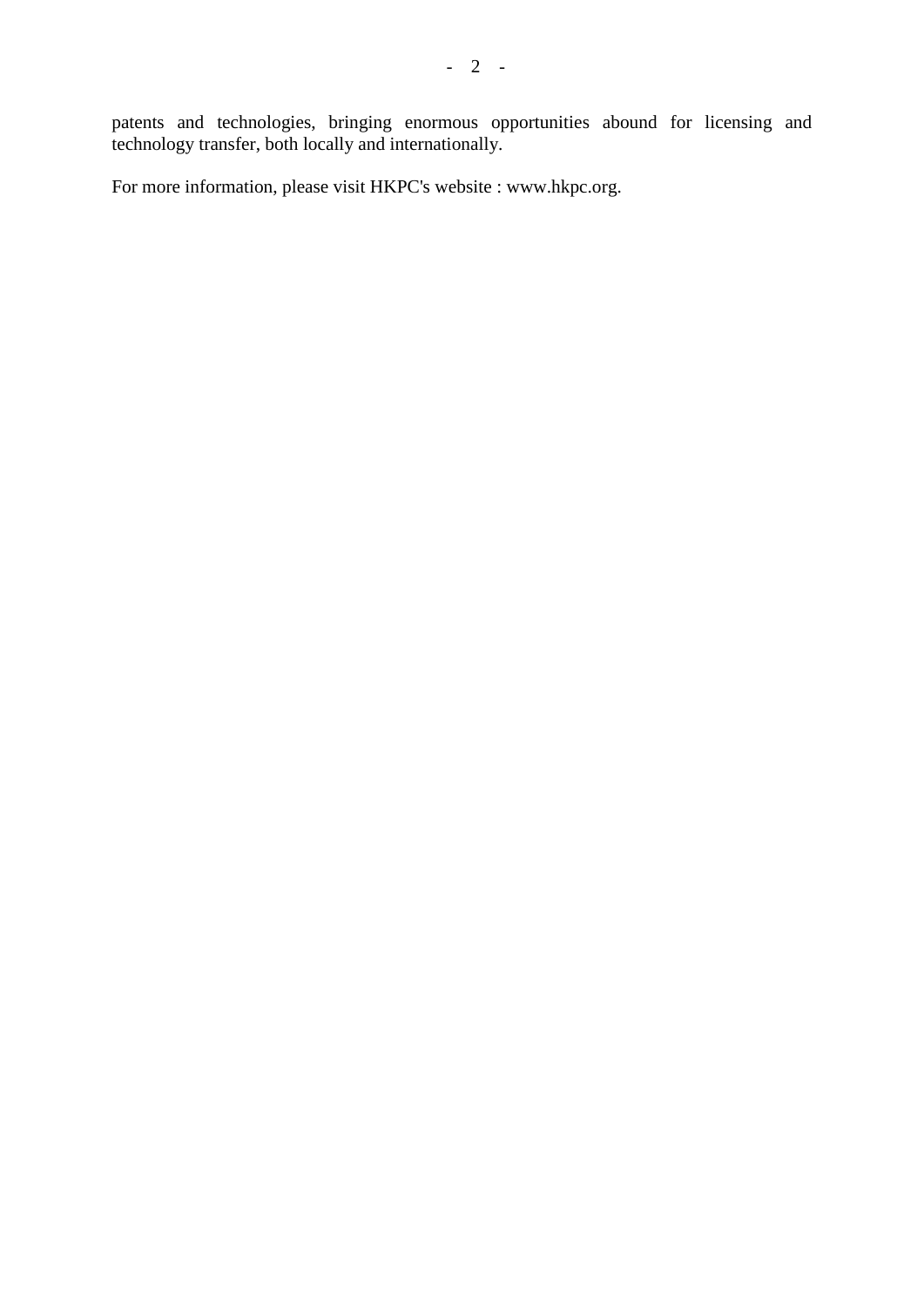patents and technologies, bringing enormous opportunities abound for licensing and technology transfer, both locally and internationally.

For more information, please visit HKPC's website : www.hkpc.org.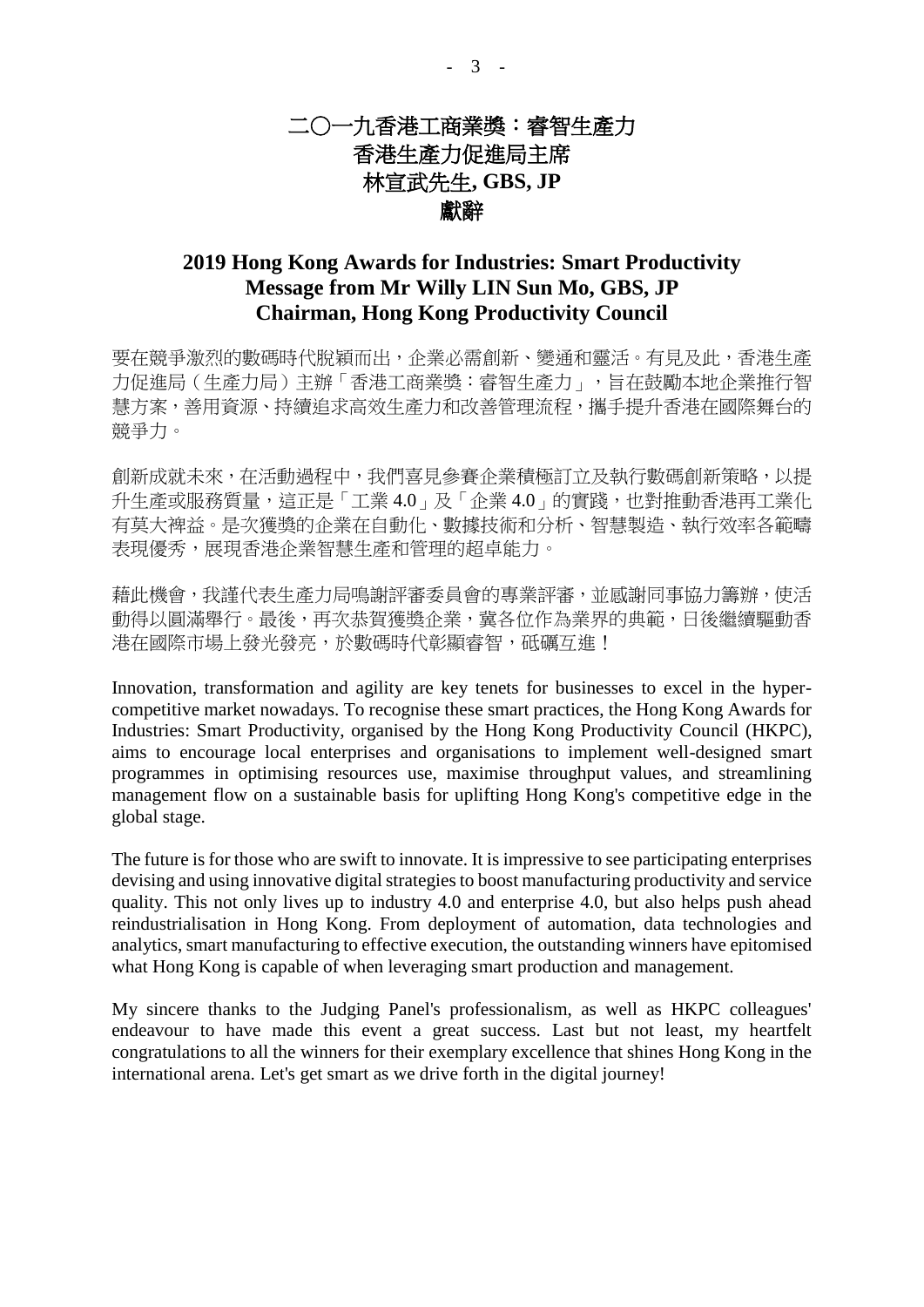## 二○一九香港工商業獎:睿智生產力 香港生產力促進局主席 林宣武先生**, GBS, JP** 獻辭

### **2019 Hong Kong Awards for Industries: Smart Productivity Message from Mr Willy LIN Sun Mo, GBS, JP Chairman, Hong Kong Productivity Council**

要在競爭激烈的數碼時代脫穎而出,企業必需創新、變通和靈活。有見及此,香港生產 力促進局(生產力局)主辦「香港工商業獎:睿智生產力」,旨在鼓勵本地企業推行智 **慧方案,善用資源、持續追求高效生產力和改善管理流程,攜手提升香港在國際舞台的** 競爭力。

創新成就未來,在活動過程中,我們喜見參賽企業積極訂立及執行數碼創新策略,以提 升生產或服務質量,這正是「工業 4.0」及「企業 4.0」的實踐,也對推動香港再工業化 有莫大裨益。是次獲獎的企業在自動化、數據技術和分析、智慧製造、執行效率各範疇 表現優秀,展現香港企業智慧生產和管理的超卓能力。

藉此機會,我謹代表生產力局鳴謝評審委員會的專業評審,並感謝同事協力籌辦,使活 動得以圓滿舉行。最後,再次恭賀獲獎企業,冀各位作為業界的典範,日後繼續驅動香 港在國際市場上發光發亮,於數碼時代彰顯睿智,砥礪互進!

Innovation, transformation and agility are key tenets for businesses to excel in the hypercompetitive market nowadays. To recognise these smart practices, the Hong Kong Awards for Industries: Smart Productivity, organised by the Hong Kong Productivity Council (HKPC), aims to encourage local enterprises and organisations to implement well-designed smart programmes in optimising resources use, maximise throughput values, and streamlining management flow on a sustainable basis for uplifting Hong Kong's competitive edge in the global stage.

The future is for those who are swift to innovate. It is impressive to see participating enterprises devising and using innovative digital strategies to boost manufacturing productivity and service quality. This not only lives up to industry 4.0 and enterprise 4.0, but also helps push ahead reindustrialisation in Hong Kong. From deployment of automation, data technologies and analytics, smart manufacturing to effective execution, the outstanding winners have epitomised what Hong Kong is capable of when leveraging smart production and management.

My sincere thanks to the Judging Panel's professionalism, as well as HKPC colleagues' endeavour to have made this event a great success. Last but not least, my heartfelt congratulations to all the winners for their exemplary excellence that shines Hong Kong in the international arena. Let's get smart as we drive forth in the digital journey!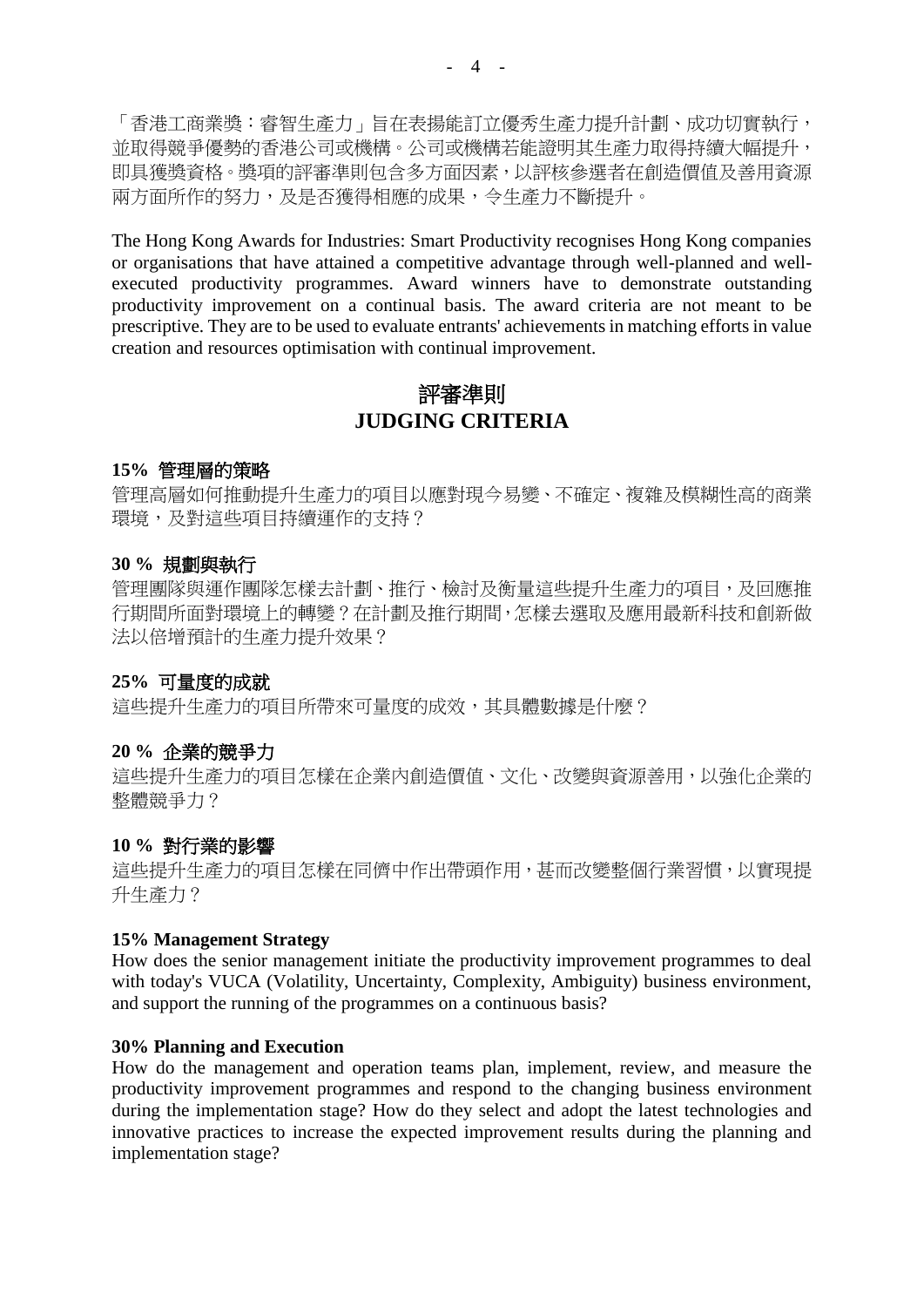「香港工商業獎:睿智生產力」旨在表揚能訂立優秀生產力提升計劃、成功切實執行, 並取得競爭優勢的香港公司或機構。公司或機構若能證明其生產力取得持續大幅提升, 即具獲獎資格。獎項的評審準則包含多方面因素,以評核參選者在創造價值及善用資源 兩方面所作的努力,及是否獲得相應的成果,令生產力不斷提升。

The Hong Kong Awards for Industries: Smart Productivity recognises Hong Kong companies or organisations that have attained a competitive advantage through well-planned and wellexecuted productivity programmes. Award winners have to demonstrate outstanding productivity improvement on a continual basis. The award criteria are not meant to be prescriptive. They are to be used to evaluate entrants' achievements in matching efforts in value creation and resources optimisation with continual improvement.

## 評審準則 **JUDGING CRITERIA**

#### **15%** 管理層的策略

管理高層如何推動提升生產力的項目以應對現今易變、不確定、複雜及模糊性高的商業 環境,及對這些項目持續運作的支持?

#### **30 %** 規劃與執行

管理團隊與運作團隊怎樣去計劃、推行、檢討及衡量這些提升生產力的項目,及回應推 行期間所面對環境上的轉變?在計劃及推行期間,怎樣去選取及應用最新科技和創新做 法以倍增預計的生產力提升效果?

#### **25%** 可量度的成就

這些提升生產力的項目所帶來可量度的成效,其具體數據是什麼?

#### **20 %** 企業的競爭力

這些提升生產力的項目怎樣在企業內創造價值、文化、改變與資源善用,以強化企業的 整體競爭力?

#### **10 %** 對行業的影響

這些提升生產力的項目怎樣在同儕中作出帶頭作用,甚而改變整個行業習慣,以實現提 升生產力?

#### **15% Management Strategy**

How does the senior management initiate the productivity improvement programmes to deal with today's VUCA (Volatility, Uncertainty, Complexity, Ambiguity) business environment, and support the running of the programmes on a continuous basis?

#### **30% Planning and Execution**

How do the management and operation teams plan, implement, review, and measure the productivity improvement programmes and respond to the changing business environment during the implementation stage? How do they select and adopt the latest technologies and innovative practices to increase the expected improvement results during the planning and implementation stage?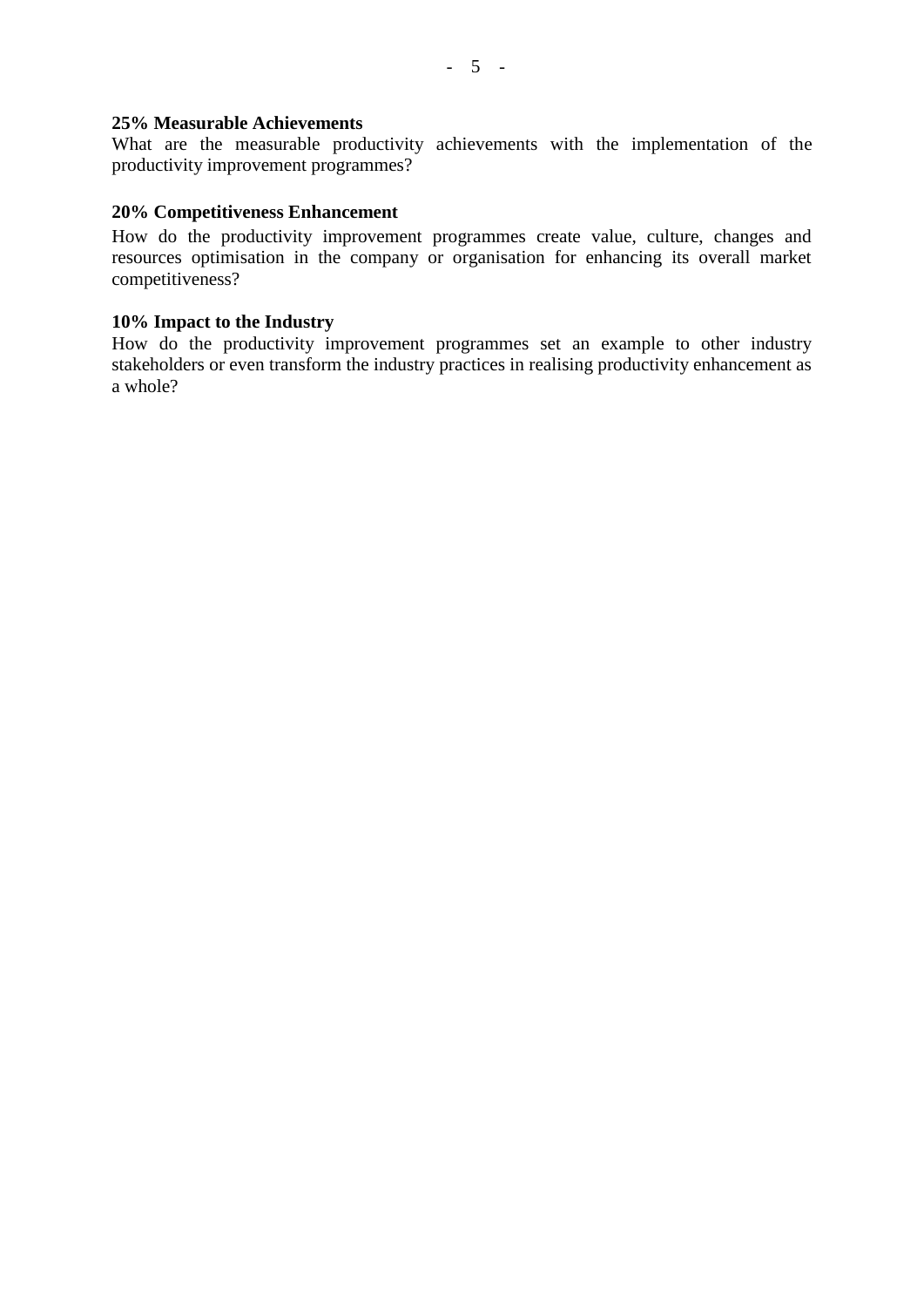#### **25% Measurable Achievements**

What are the measurable productivity achievements with the implementation of the productivity improvement programmes?

#### **20% Competitiveness Enhancement**

How do the productivity improvement programmes create value, culture, changes and resources optimisation in the company or organisation for enhancing its overall market competitiveness?

#### **10% Impact to the Industry**

How do the productivity improvement programmes set an example to other industry stakeholders or even transform the industry practices in realising productivity enhancement as a whole?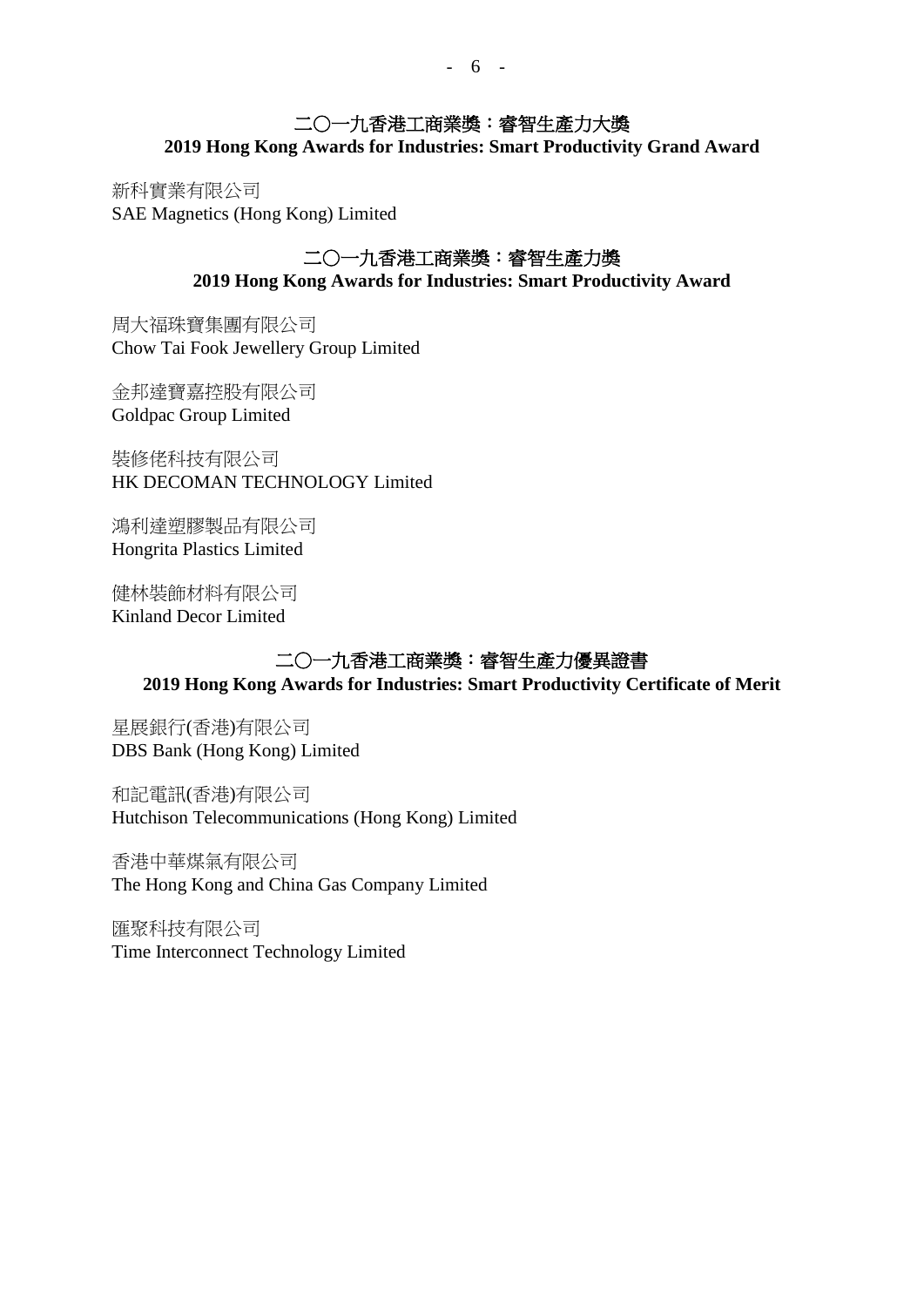## 二○一九香港工商業獎:睿智生產力大獎

**2019 Hong Kong Awards for Industries: Smart Productivity Grand Award**

新科實業有限公司 SAE Magnetics (Hong Kong) Limited

### 二○一九香港工商業獎:睿智生產力獎 **2019 Hong Kong Awards for Industries: Smart Productivity Award**

周大福珠寶集團有限公司 Chow Tai Fook Jewellery Group Limited

金邦達寶嘉控股有限公司 Goldpac Group Limited

裝修佬科技有限公司 HK DECOMAN TECHNOLOGY Limited

鴻利達塑膠製品有限公司 Hongrita Plastics Limited

健林裝飾材料有限公司 Kinland Decor Limited

### 二○一九香港工商業獎:睿智生產力優異證書 **2019 Hong Kong Awards for Industries: Smart Productivity Certificate of Merit**

星展銀行(香港)有限公司 DBS Bank (Hong Kong) Limited

和記電訊(香港)有限公司 Hutchison Telecommunications (Hong Kong) Limited

香港中華煤氣有限公司 The Hong Kong and China Gas Company Limited

匯聚科技有限公司 Time Interconnect Technology Limited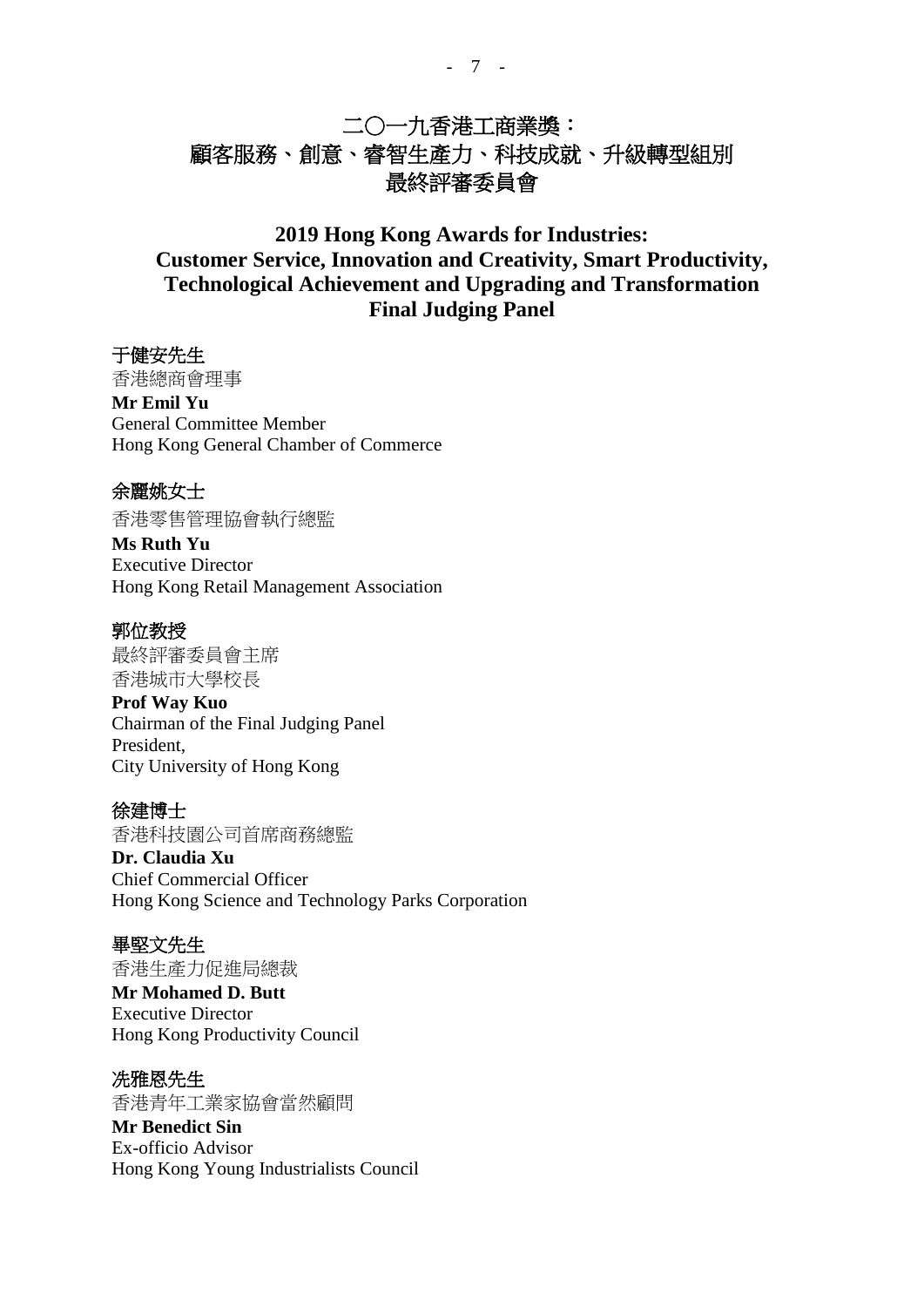## 二○一九香港工商業獎: 顧客服務、創意、睿智生產力、科技成就、升級轉型組別 最終評審委員會

## **2019 Hong Kong Awards for Industries: Customer Service, Innovation and Creativity, Smart Productivity, Technological Achievement and Upgrading and Transformation Final Judging Panel**

#### 于健安先生

香港總商會理事 **Mr Emil Yu** General Committee Member Hong Kong General Chamber of Commerce

#### 余麗姚女士

香港零售管理協會執行總監

**Ms Ruth Yu** Executive Director Hong Kong Retail Management Association

#### 郭位教授

最終評審委員會主席 香港城市大學校長

#### **Prof Way Kuo**

Chairman of the Final Judging Panel President, City University of Hong Kong

#### 徐建博士

香港科技園公司首席商務總監

**Dr. Claudia Xu** Chief Commercial Officer Hong Kong Science and Technology Parks Corporation

#### 畢堅文先生

香港生產力促進局總裁 **Mr Mohamed D. Butt** Executive Director Hong Kong Productivity Council

#### 冼雅恩先生

香港青年工業家協會當然顧問 **Mr Benedict Sin** Ex-officio Advisor Hong Kong Young Industrialists Council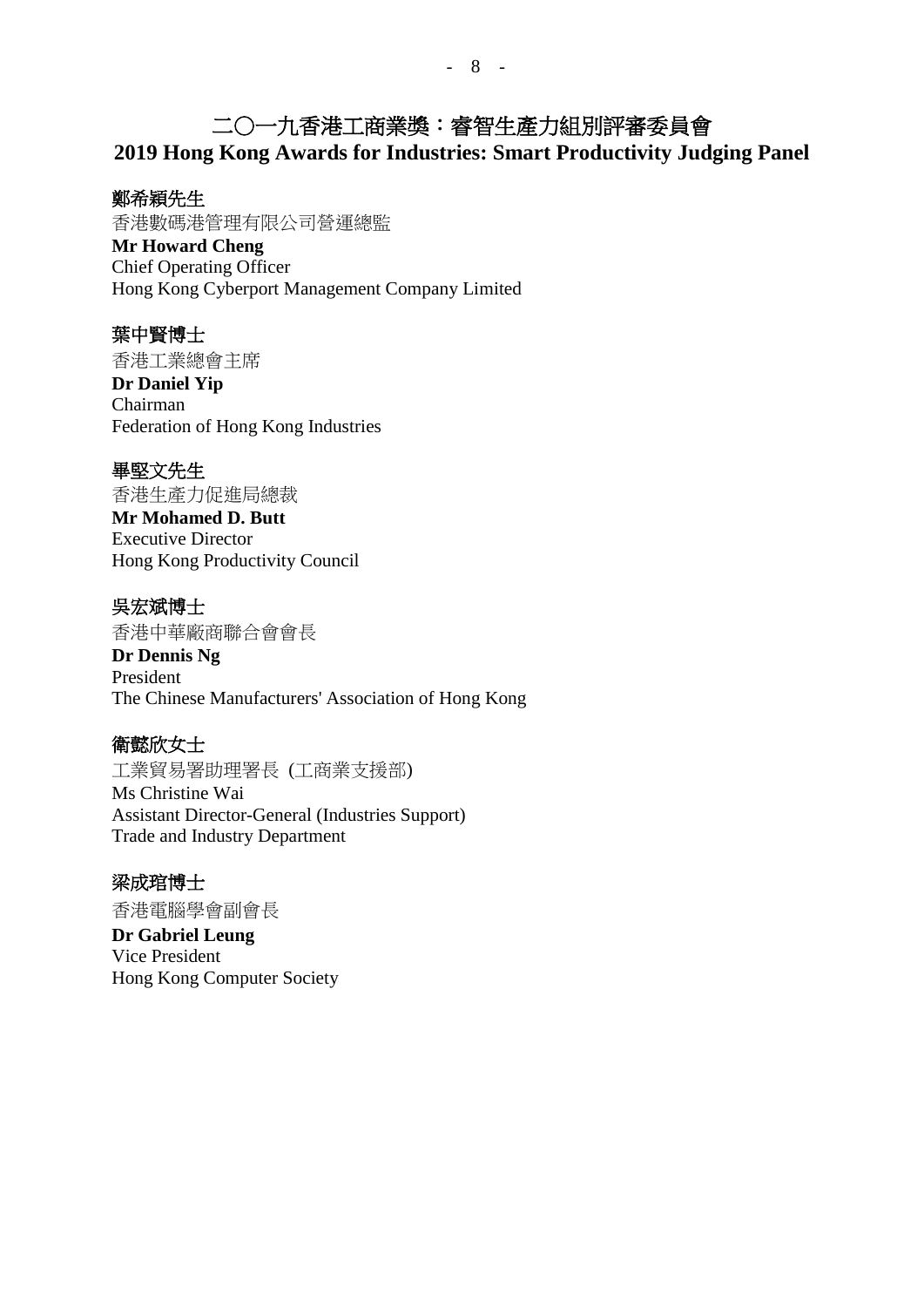# 二○一九香港工商業獎:睿智生產力組別評審委員會

**2019 Hong Kong Awards for Industries: Smart Productivity Judging Panel**

### 鄭希穎先生

香港數碼港管理有限公司營運總監

**Mr Howard Cheng** Chief Operating Officer Hong Kong Cyberport Management Company Limited

## 葉中賢博士

香港工業總會主席 **Dr Daniel Yip** Chairman Federation of Hong Kong Industries

### 畢堅文先生

香港生產力促進局總裁

**Mr Mohamed D. Butt** Executive Director Hong Kong Productivity Council

吳宏斌博士 香港中華廠商聯合會會長

**Dr Dennis Ng** President The Chinese Manufacturers' Association of Hong Kong

## 衛懿欣女士

工業貿易署助理署長 (工商業支援部) Ms Christine Wai Assistant Director-General (Industries Support) Trade and Industry Department

## 梁成琯博士

香港電腦學會副會長 **Dr Gabriel Leung** Vice President Hong Kong Computer Society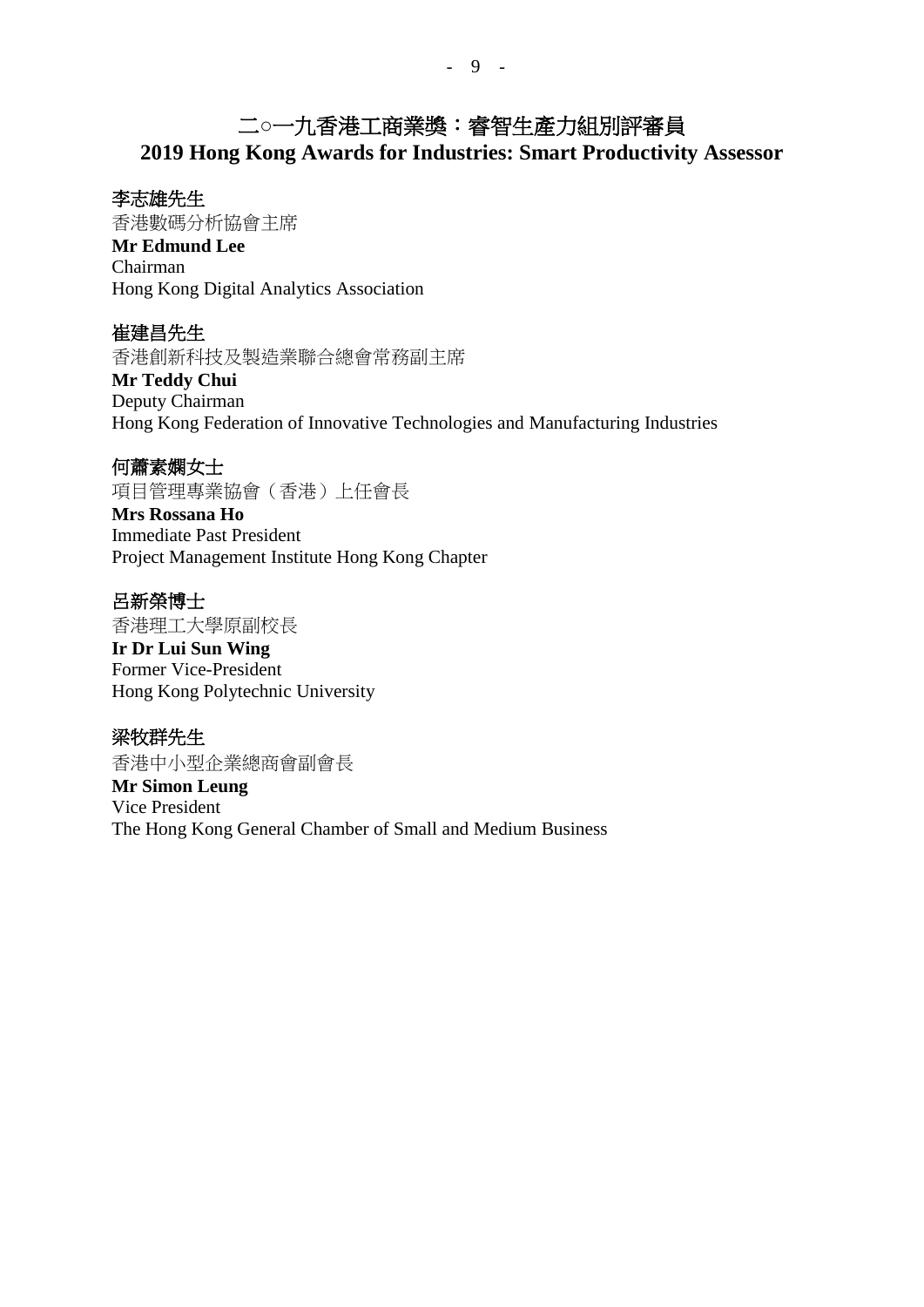## 二**○**一九香港工商業獎:睿智生產力組別評審員 **2019 Hong Kong Awards for Industries: Smart Productivity Assessor**

#### 李志雄先生

香港數碼分析協會主席 **Mr Edmund Lee** Chairman Hong Kong Digital Analytics Association

崔建昌先生 香港創新科技及製造業聯合總會常務副主席

**Mr Teddy Chui** Deputy Chairman Hong Kong Federation of Innovative Technologies and Manufacturing Industries

何蕭素嫻女士

項目管理專業協會(香港)上任會長

**Mrs Rossana Ho** Immediate Past President Project Management Institute Hong Kong Chapter

呂新榮博士 香港理工大學原副校長

**Ir Dr Lui Sun Wing** Former Vice-President Hong Kong Polytechnic University

梁牧群先生 香港中小型企業總商會副會長 **Mr Simon Leung** Vice President The Hong Kong General Chamber of Small and Medium Business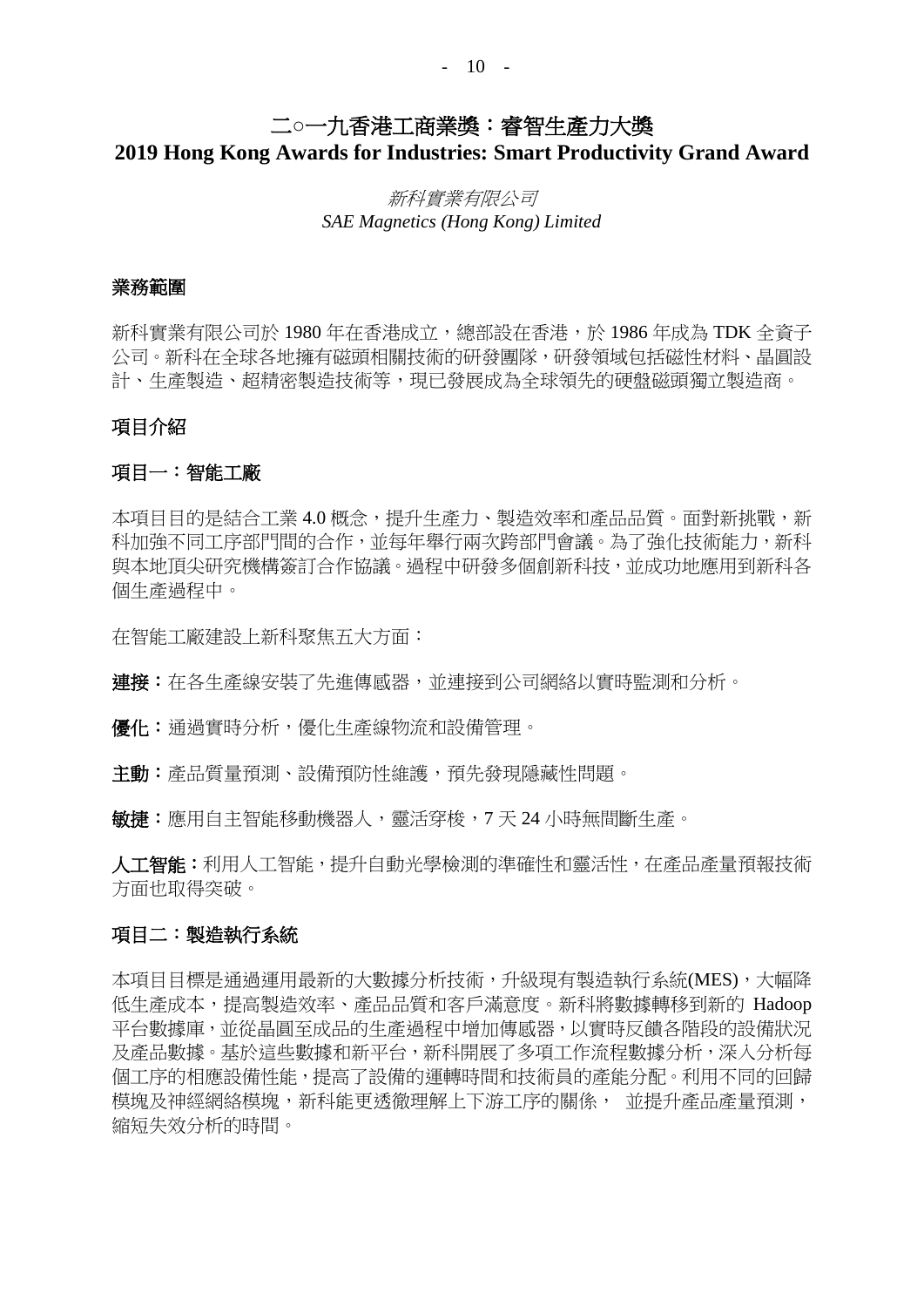#### $- 10 -$

## 二**○**一九香港工商業獎:睿智生產力大獎

**2019 Hong Kong Awards for Industries: Smart Productivity Grand Award**

### 新科實業有限公司 *SAE Magnetics (Hong Kong) Limited*

#### 業務範圍

新科實業有限公司於 1980 年在香港成立, 總部設在香港, 於 1986 年成為 TDK 全資子 公司。新科在全球各地擁有磁頭相關技術的研發團隊,研發領域包括磁性材料、晶圓設 計、生產製造、超精密製造技術等,現已發展成為全球領先的硬盤磁頭獨立製造商。

#### 項目介紹

#### 項目一:智能工廠

本項目目的是結合工業 4.0 概念,提升生產力、製造效率和產品品質。面對新挑戰,新 科加強不同工序部門間的合作,並每年舉行兩次跨部門會議。為了強化技術能力,新科 與本地頂尖研究機構簽訂合作協議。過程中研發多個創新科技,並成功地應用到新科各 個生產過程中。

在智能工廠建設上新科聚焦五大方面:

連接:在各生產線安裝了先進傳感器,並連接到公司網絡以實時監測和分析。

優化:通過實時分析,優化生產線物流和設備管理。

主動:產品質量預測、設備預防性維護,預先發現隱藏性問題。

敏捷:應用自主智能移動機器人,靈活穿梭,7 天 24 小時無間斷生產。

人工智能:利用人工智能,提升自動光學檢測的準確性和靈活性,在產品產量預報技術 方面也取得突破。

#### 項目二:製造執行系統

本項目目標是通過運用最新的大數據分析技術,升級現有製造執行系統(MES),大幅降 低生產成本,提高製造效率、產品品質和客戶滿意度。新科將數據轉移到新的 Hadoop 平台數據庫,並從晶圓至成品的生產過程中增加傳感器,以實時反饋各階段的設備狀況 及產品數據。基於這些數據和新平台,新科開展了多項工作流程數據分析,深入分析每 個工序的相應設備性能,提高了設備的運轉時間和技術員的產能分配。利用不同的回歸 模塊及神經網絡模塊,新科能更透徹理解上下游工序的關係, 並提升產品產量預測, 縮短失效分析的時間。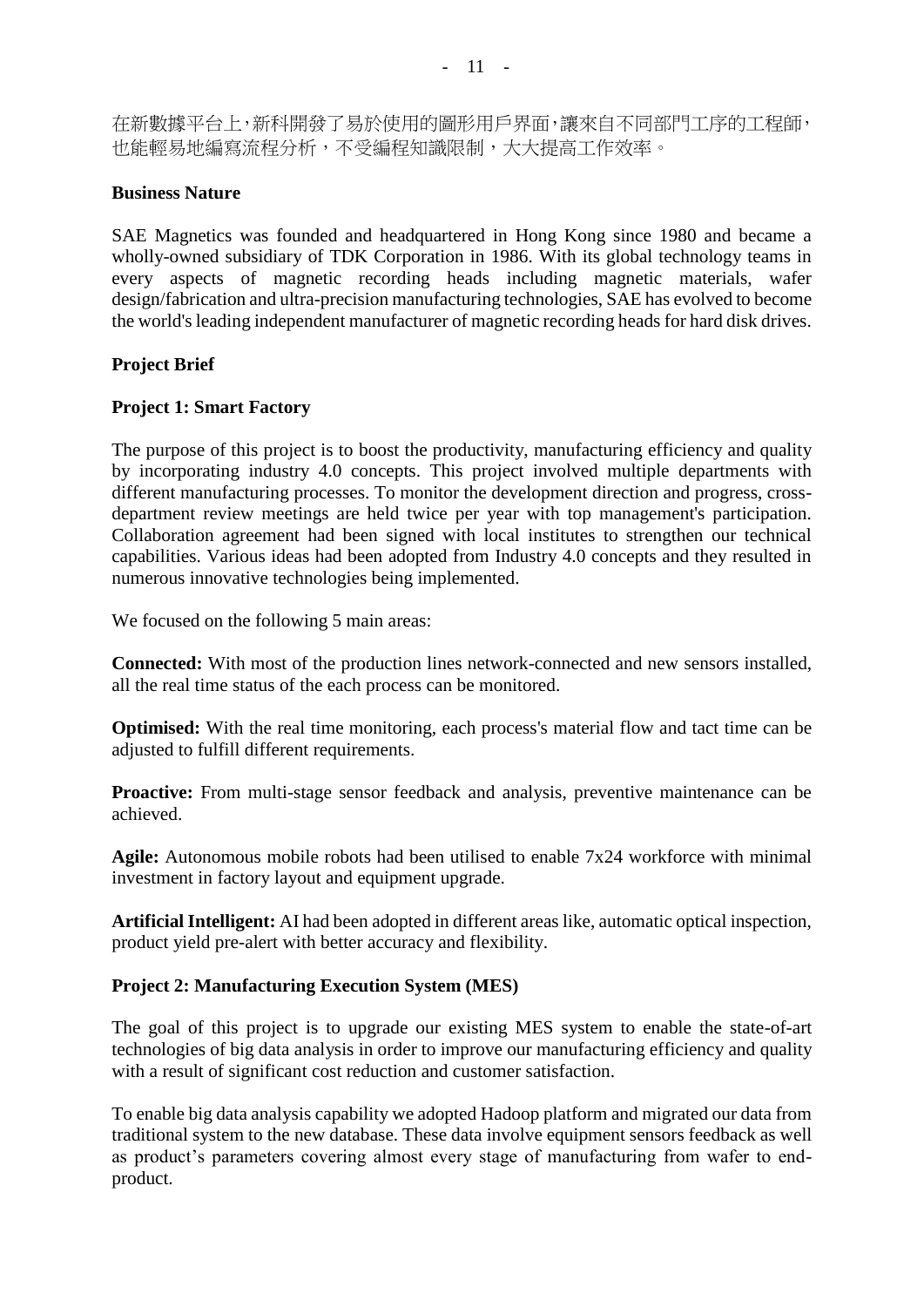在新數據平台上,新科開發了易於使用的圖形用戶界面,讓來自不同部門工序的工程師, 也能輕易地編寫流程分析,不受編程知識限制,大大提高工作效率。

#### **Business Nature**

SAE Magnetics was founded and headquartered in Hong Kong since 1980 and became a wholly-owned subsidiary of TDK Corporation in 1986. With its global technology teams in every aspects of magnetic recording heads including magnetic materials, wafer design/fabrication and ultra-precision manufacturing technologies, SAE has evolved to become the world's leading independent manufacturer of magnetic recording heads for hard disk drives.

#### **Project Brief**

#### **Project 1: Smart Factory**

The purpose of this project is to boost the productivity, manufacturing efficiency and quality by incorporating industry 4.0 concepts. This project involved multiple departments with different manufacturing processes. To monitor the development direction and progress, crossdepartment review meetings are held twice per year with top management's participation. Collaboration agreement had been signed with local institutes to strengthen our technical capabilities. Various ideas had been adopted from Industry 4.0 concepts and they resulted in numerous innovative technologies being implemented.

We focused on the following 5 main areas:

**Connected:** With most of the production lines network-connected and new sensors installed, all the real time status of the each process can be monitored.

**Optimised:** With the real time monitoring, each process's material flow and tact time can be adjusted to fulfill different requirements.

**Proactive:** From multi-stage sensor feedback and analysis, preventive maintenance can be achieved.

**Agile:** Autonomous mobile robots had been utilised to enable 7x24 workforce with minimal investment in factory layout and equipment upgrade.

**Artificial Intelligent:** AI had been adopted in different areas like, automatic optical inspection, product yield pre-alert with better accuracy and flexibility.

#### **Project 2: Manufacturing Execution System (MES)**

The goal of this project is to upgrade our existing MES system to enable the state-of-art technologies of big data analysis in order to improve our manufacturing efficiency and quality with a result of significant cost reduction and customer satisfaction.

To enable big data analysis capability we adopted Hadoop platform and migrated our data from traditional system to the new database. These data involve equipment sensors feedback as well as product's parameters covering almost every stage of manufacturing from wafer to endproduct.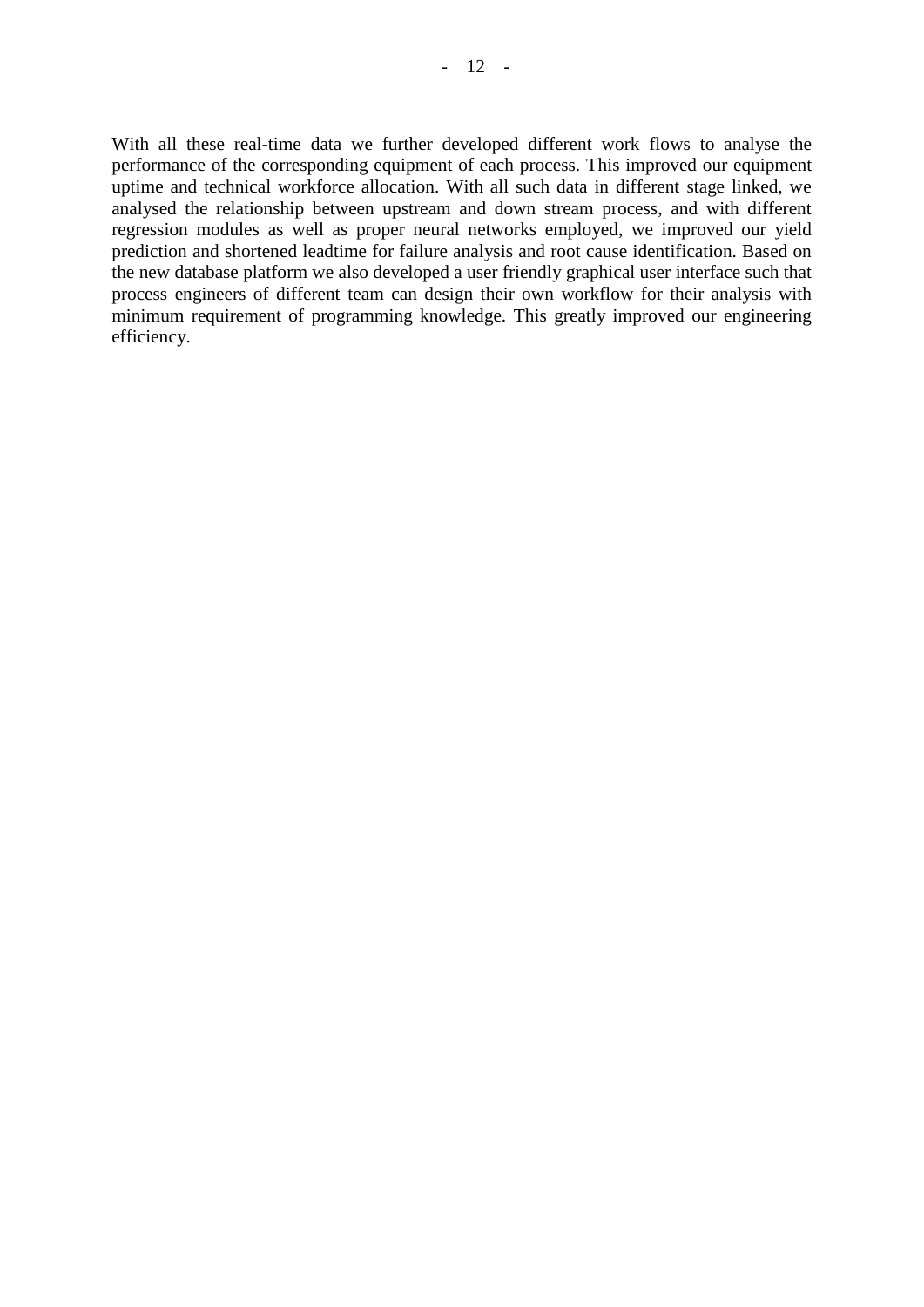With all these real-time data we further developed different work flows to analyse the performance of the corresponding equipment of each process. This improved our equipment uptime and technical workforce allocation. With all such data in different stage linked, we analysed the relationship between upstream and down stream process, and with different regression modules as well as proper neural networks employed, we improved our yield prediction and shortened leadtime for failure analysis and root cause identification. Based on the new database platform we also developed a user friendly graphical user interface such that process engineers of different team can design their own workflow for their analysis with minimum requirement of programming knowledge. This greatly improved our engineering efficiency.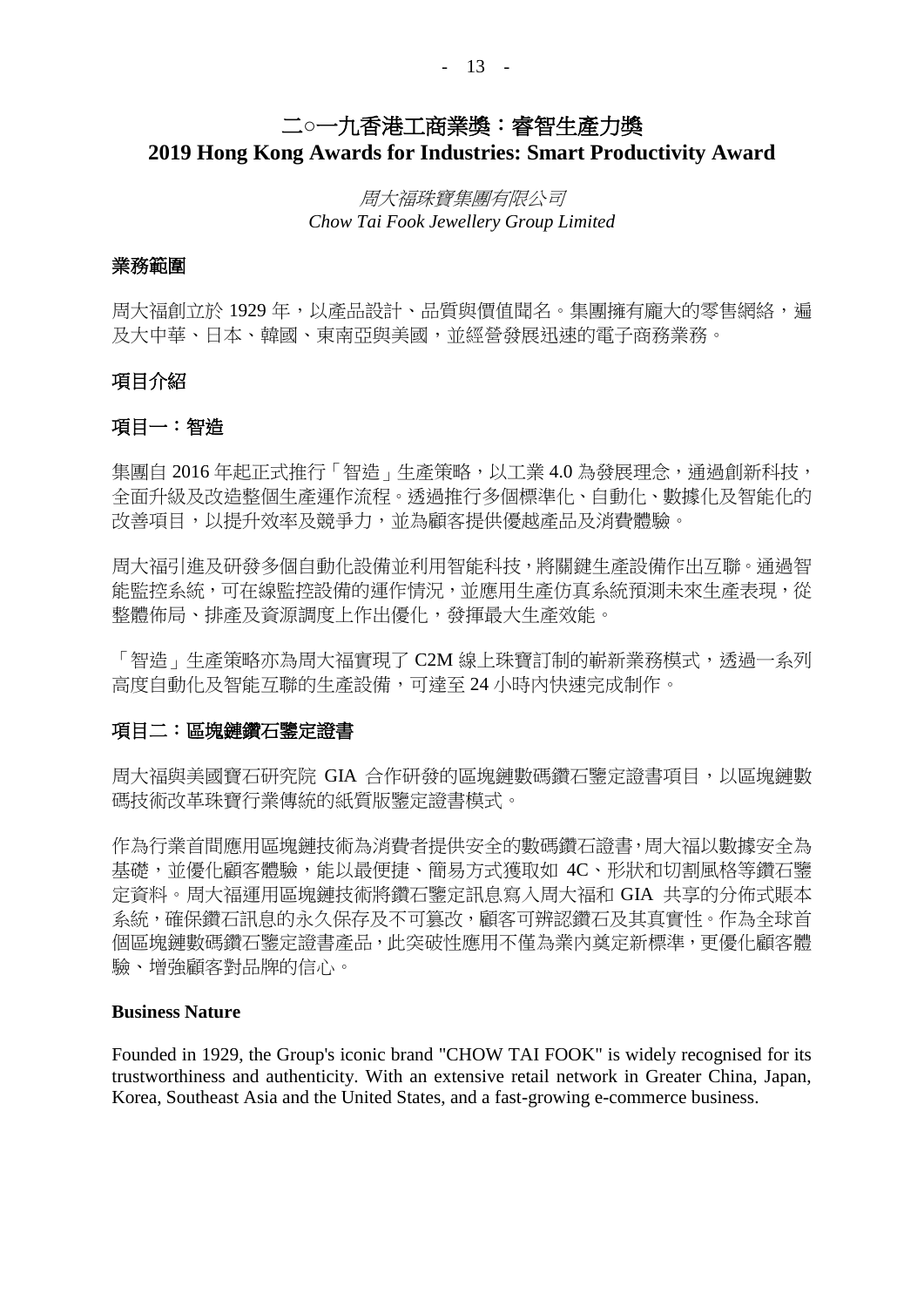#### - 13 -

## 二**○**一九香港工商業獎:睿智生產力獎 **2019 Hong Kong Awards for Industries: Smart Productivity Award**

### 周大福珠寶集團有限公司 *Chow Tai Fook Jewellery Group Limited*

#### 業務範圍

周大福創立於 1929 年,以產品設計、品質與價值聞名。集團擁有龐大的零售網絡,遍 及大中華、日本、韓國、東南亞與美國,並經營發展迅速的電子商務業務。

#### 項目介紹

#### 項目一:智造

集團自 2016年起正式推行「智造」生產策略,以工業 4.0 為發展理念,通過創新科技, 全面升級及改造整個生產運作流程。透過推行多個標準化、自動化、數據化及智能化的 改善項目,以提升效率及競爭力,並為顧客提供優越產品及消費體驗。

周大福引進及研發多個自動化設備並利用智能科技,將關鍵生產設備作出互聯。通過智 能監控系統,可在線監控設備的運作情況,並應用生產仿真系統預測未來生產表現,從 整體佈局、排產及資源調度上作出優化,發揮最大生產效能。

「智造」生產策略亦為周大福實現了 C2M 線上珠寶訂制的嶄新業務模式,透過一系列 高度自動化及智能互聯的生產設備,可達至 24 小時內快速完成制作。

#### 項目二:區塊鏈鑽石鑒定證書

周大福與美國寶石研究院 GIA 合作研發的區塊鏈數碼鑽石鑒定證書項目,以區塊鏈數 碼技術改革珠寶行業傳統的紙質版鑒定證書模式。

作為行業首間應用區塊鏈技術為消費者提供安全的數碼鑽石證書,周大福以數據安全為 基礎,並優化顧客體驗,能以最便捷、簡易方式獲取如 4C、形狀和切割風格等鑽石鑒 定資料。周大福運用區塊鏈技術將鑽石鑒定訊息寫入周大福和 GIA 共享的分佈式賬本 系統,確保鑽石訊息的永久保存及不可篡改,顧客可辨認鑽石及其真實性。作為全球首 個區塊鏈數碼鑽石鑒定證書產品,此突破性應用不僅為業內奠定新標準,更優化顧客體 驗、增強顧客對品牌的信心。

#### **Business Nature**

Founded in 1929, the Group's iconic brand "CHOW TAI FOOK" is widely recognised for its trustworthiness and authenticity. With an extensive retail network in Greater China, Japan, Korea, Southeast Asia and the United States, and a fast-growing e-commerce business.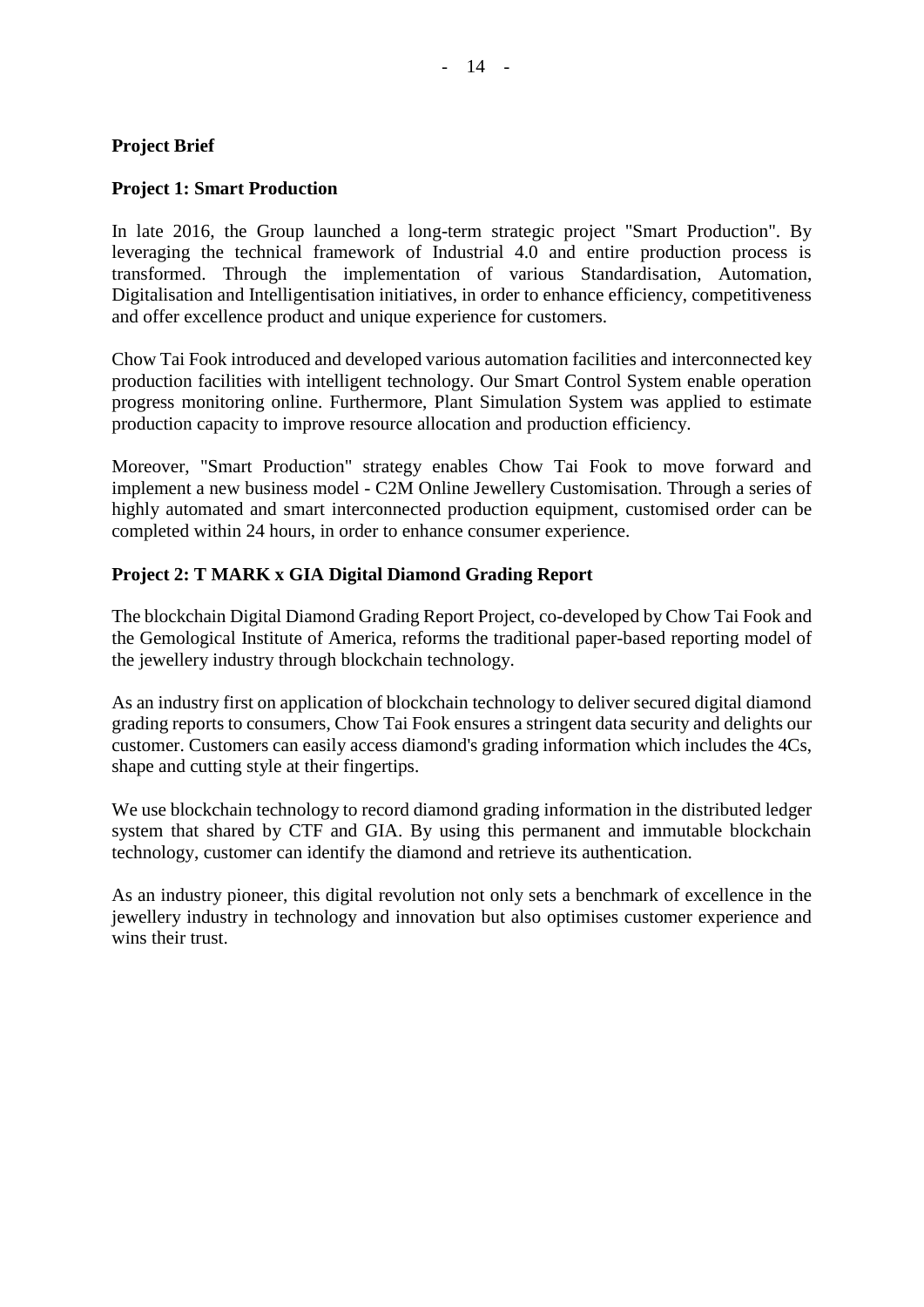#### **Project Brief**

#### **Project 1: Smart Production**

In late 2016, the Group launched a long-term strategic project "Smart Production". By leveraging the technical framework of Industrial 4.0 and entire production process is transformed. Through the implementation of various Standardisation, Automation, Digitalisation and Intelligentisation initiatives, in order to enhance efficiency, competitiveness and offer excellence product and unique experience for customers.

Chow Tai Fook introduced and developed various automation facilities and interconnected key production facilities with intelligent technology. Our Smart Control System enable operation progress monitoring online. Furthermore, Plant Simulation System was applied to estimate production capacity to improve resource allocation and production efficiency.

Moreover, "Smart Production" strategy enables Chow Tai Fook to move forward and implement a new business model - C2M Online Jewellery Customisation. Through a series of highly automated and smart interconnected production equipment, customised order can be completed within 24 hours, in order to enhance consumer experience.

#### **Project 2: T MARK x GIA Digital Diamond Grading Report**

The blockchain Digital Diamond Grading Report Project, co-developed by Chow Tai Fook and the Gemological Institute of America, reforms the traditional paper-based reporting model of the jewellery industry through blockchain technology.

As an industry first on application of blockchain technology to deliver secured digital diamond grading reports to consumers, Chow Tai Fook ensures a stringent data security and delights our customer. Customers can easily access diamond's grading information which includes the 4Cs, shape and cutting style at their fingertips.

We use blockchain technology to record diamond grading information in the distributed ledger system that shared by CTF and GIA. By using this permanent and immutable blockchain technology, customer can identify the diamond and retrieve its authentication.

As an industry pioneer, this digital revolution not only sets a benchmark of excellence in the jewellery industry in technology and innovation but also optimises customer experience and wins their trust.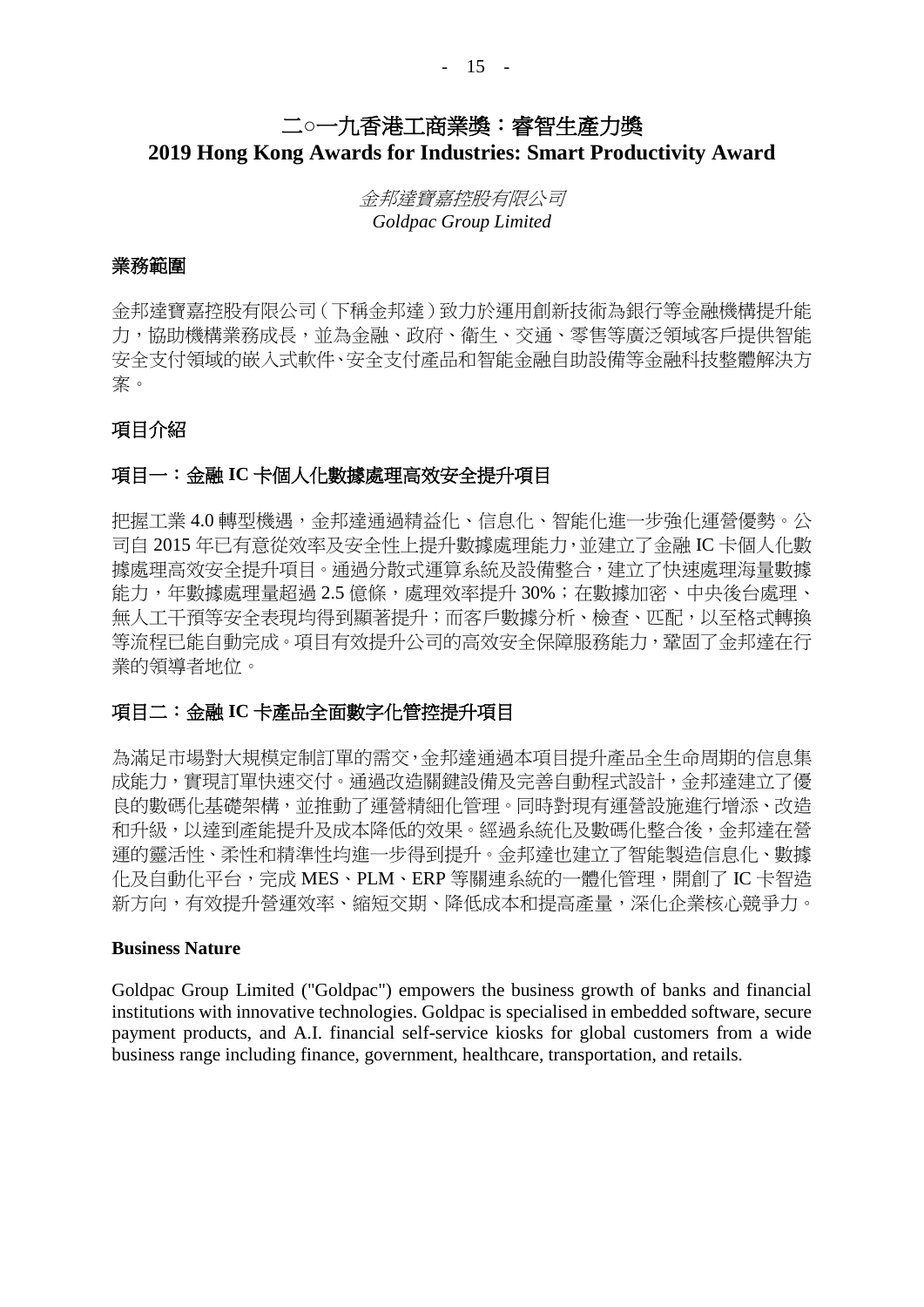## 二**○**一九香港工商業獎:睿智生產力獎 **2019 Hong Kong Awards for Industries: Smart Productivity Award**

金邦達寶嘉控股有限公司 *Goldpac Group Limited*

#### 業務範圍

金邦達寶嘉控股有限公司(下稱金邦達)致力於運用創新技術為銀行等金融機構提升能 力,協助機構業務成長,並為金融、政府、衛生、交通、零售等廣泛領域客戶提供智能 安全支付領域的嵌入式軟件、安全支付產品和智能金融自助設備等金融科技整體解決方 案。

#### 項目介紹

#### 項目一:金融 **IC** 卡個人化數據處理高效安全提升項目

把握工業 4.0 轉型機遇,金邦達通過精益化、信息化、智能化進一步強化運營優勢。公 司自 2015 年已有意從效率及安全性上提升數據處理能力,並建立了金融 IC 卡個人化數 據處理高效安全提升項目。通過分散式運算系統及設備整合,建立了快速處理海量數據 能力,年數據處理量超過 2.5 億條,處理效率提升 30%;在數據加密、中央後台處理、 無人工干預等安全表現均得到顯著提升;而客戶數據分析、檢查、匹配,以至格式轉換 等流程已能自動完成。項目有效提升公司的高效安全保障服務能力,鞏固了金邦達在行 業的領導者地位。

#### 項目二:金融 **IC** 卡產品全面數字化管控提升項目

為滿足市場對大規模定制訂單的需交,金邦達通過本項目提升產品全生命周期的信息集 成能力,實現訂單快速交付。通過改造關鍵設備及完善自動程式設計,金邦達建立了優 良的數碼化基礎架構,並推動了運營精細化管理。同時對現有運營設施進行增添、改造 和升級,以達到產能提升及成本降低的效果。經過系統化及數碼化整合後,金邦達在營 運的靈活性、柔性和精準性均進一步得到提升。金邦達也建立了智能製造信息化、數據 化及自動化平台,完成 MES、PLM、ERP 等關連系統的一體化管理,開創了 IC 卡智浩 新方向,有效提升營運效率、縮短交期、降低成本和提高產量,深化企業核心競爭力。

#### **Business Nature**

Goldpac Group Limited ("Goldpac") empowers the business growth of banks and financial institutions with innovative technologies. Goldpac is specialised in embedded software, secure payment products, and A.I. financial self-service kiosks for global customers from a wide business range including finance, government, healthcare, transportation, and retails.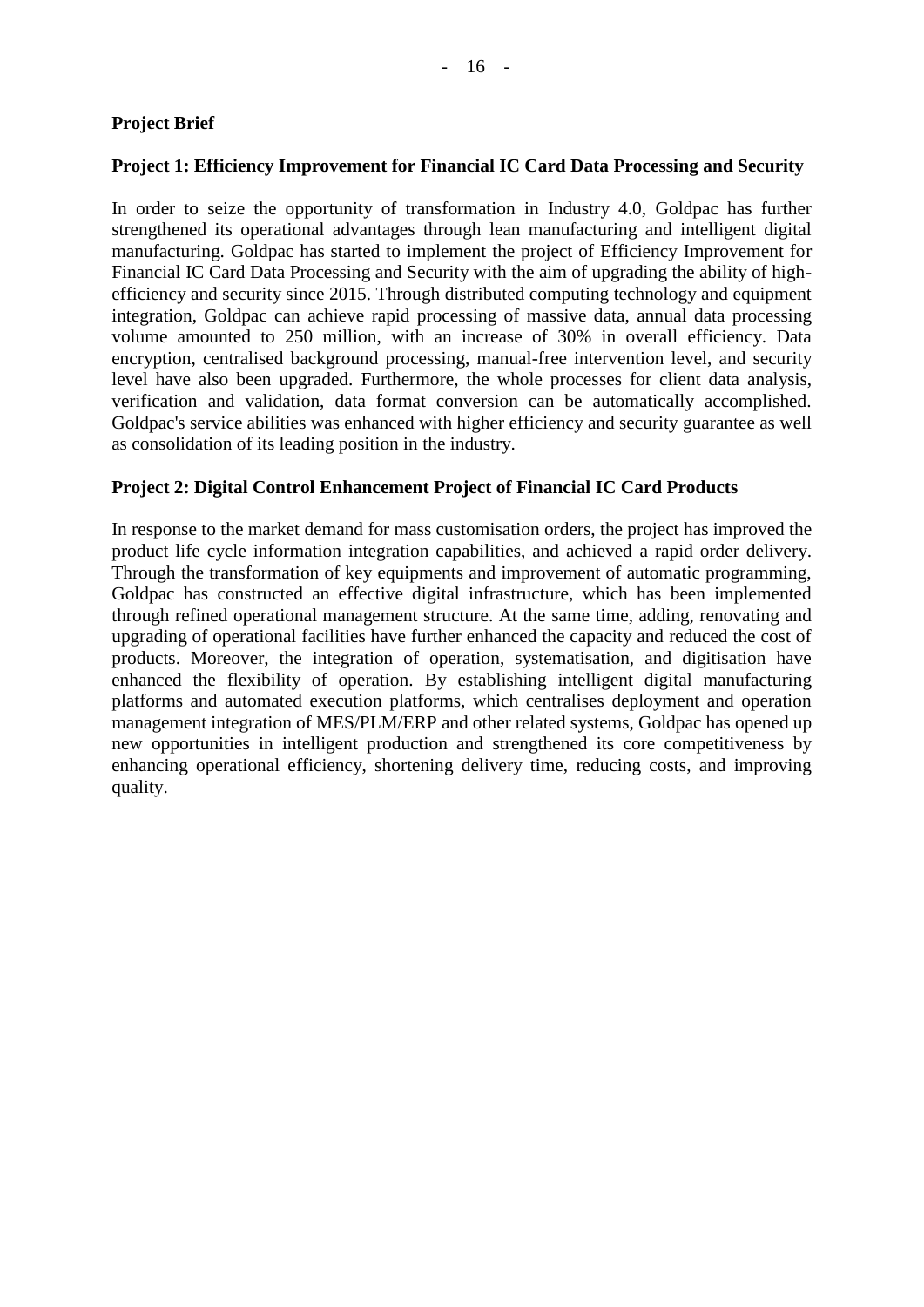### **Project Brief**

#### **Project 1: Efficiency Improvement for Financial IC Card Data Processing and Security**

In order to seize the opportunity of transformation in Industry 4.0, Goldpac has further strengthened its operational advantages through lean manufacturing and intelligent digital manufacturing. Goldpac has started to implement the project of Efficiency Improvement for Financial IC Card Data Processing and Security with the aim of upgrading the ability of highefficiency and security since 2015. Through distributed computing technology and equipment integration, Goldpac can achieve rapid processing of massive data, annual data processing volume amounted to 250 million, with an increase of 30% in overall efficiency. Data encryption, centralised background processing, manual-free intervention level, and security level have also been upgraded. Furthermore, the whole processes for client data analysis, verification and validation, data format conversion can be automatically accomplished. Goldpac's service abilities was enhanced with higher efficiency and security guarantee as well as consolidation of its leading position in the industry.

#### **Project 2: Digital Control Enhancement Project of Financial IC Card Products**

In response to the market demand for mass customisation orders, the project has improved the product life cycle information integration capabilities, and achieved a rapid order delivery. Through the transformation of key equipments and improvement of automatic programming, Goldpac has constructed an effective digital infrastructure, which has been implemented through refined operational management structure. At the same time, adding, renovating and upgrading of operational facilities have further enhanced the capacity and reduced the cost of products. Moreover, the integration of operation, systematisation, and digitisation have enhanced the flexibility of operation. By establishing intelligent digital manufacturing platforms and automated execution platforms, which centralises deployment and operation management integration of MES/PLM/ERP and other related systems, Goldpac has opened up new opportunities in intelligent production and strengthened its core competitiveness by enhancing operational efficiency, shortening delivery time, reducing costs, and improving quality.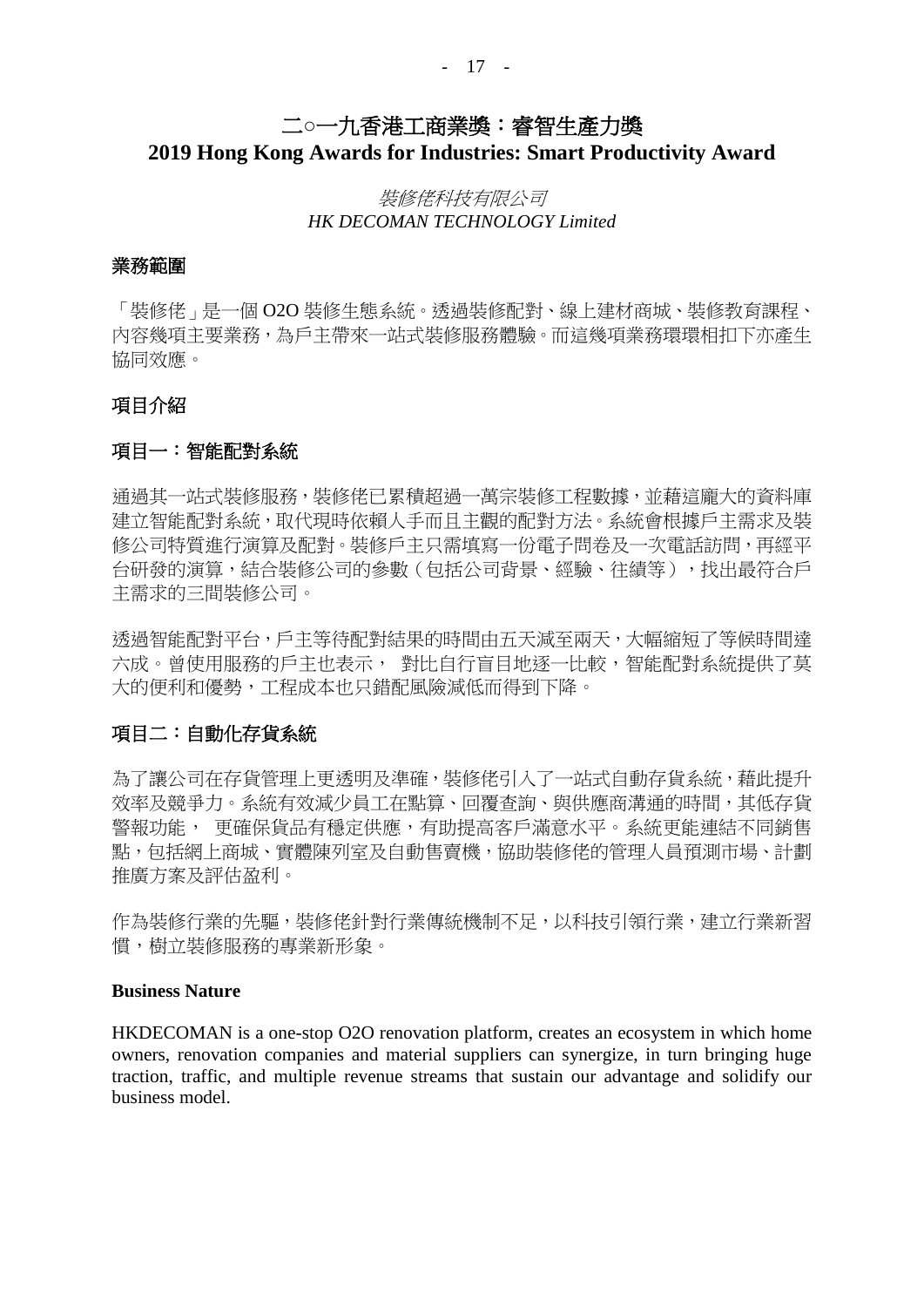## 二**○**一九香港工商業獎:睿智生產力獎 **2019 Hong Kong Awards for Industries: Smart Productivity Award**

### 裝修佬科技有限公司 *HK DECOMAN TECHNOLOGY Limited*

#### 業務範圍

「裝修佬」是一個 O2O 裝修生態系統。透過裝修配對、線上建材商城、裝修教育課程、 內容幾項主要業務,為戶主帶來一站式裝修服務體驗。而這幾項業務環環相扣下亦產生 協同效應。

#### 項目介紹

#### 項目一:智能配對系統

通過其一站式裝修服務,裝修佬已累積超過一萬宗裝修工程數據,並藉這龐大的資料庫 建立智能配對系統,取代現時依賴人手而且主觀的配對方法。系統會根據戶主需求及裝 修公司特質進行演算及配對。裝修戶主只需填寫一份電子問卷及一次電話訪問,再經平 台研發的演算,結合裝修公司的參數(包括公司背景、經驗、往績等),找出最符合戶 主需求的三間裝修公司。

透過智能配對平台,戶主等待配對結果的時間由五天減至兩天,大幅縮短了等候時間達 六成。曾使用服務的戶主也表示,對比自行盲目地逐一比較,智能配對系統提供了莫 大的便利和優勢,工程成本也只錯配風險減低而得到下降。

#### 項目二:自動化存貨系統

為了讓公司在存貨管理上更透明及準確,裝修佬引入了一站式自動存貨系統,藉此提升 效率及競爭力。系統有效減少員工在點算、回覆查詢、與供應商溝通的時間,其低存貨 警報功能, 更確保貨品有穩定供應,有助提高客戶滿意水平。系統更能連結不同銷售 點,包括網上商城、實體陳列室及自動售賣機,協助裝修佬的管理人員預測市場、計劃 推廣方案及評估盈利。

作為裝修行業的先驅,裝修佬針對行業傳統機制不足,以科技引領行業,建立行業新習 慣,樹立裝修服務的專業新形象。

#### **Business Nature**

HKDECOMAN is a one-stop O2O renovation platform, creates an ecosystem in which home owners, renovation companies and material suppliers can synergize, in turn bringing huge traction, traffic, and multiple revenue streams that sustain our advantage and solidify our business model.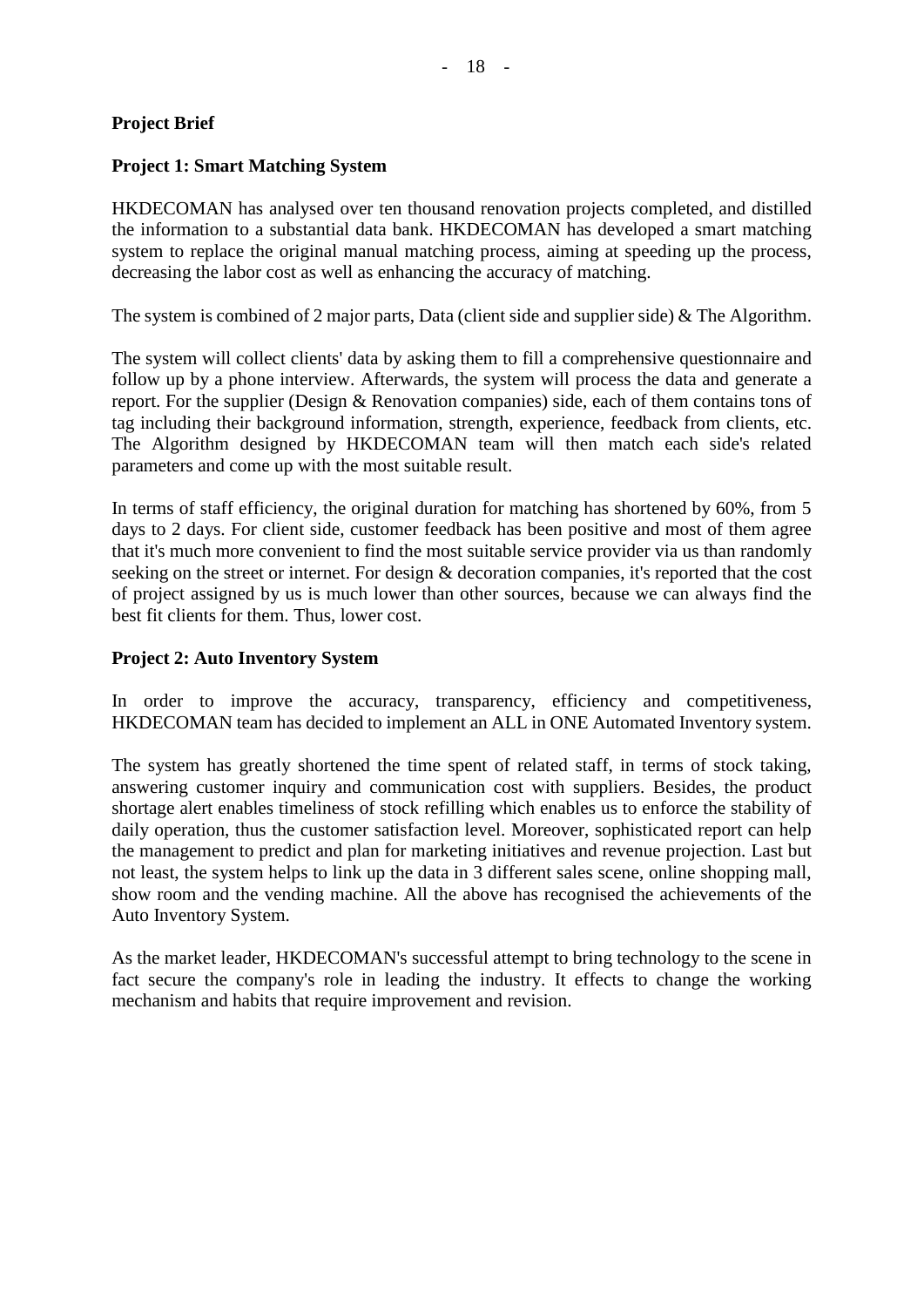#### **Project Brief**

#### **Project 1: Smart Matching System**

HKDECOMAN has analysed over ten thousand renovation projects completed, and distilled the information to a substantial data bank. HKDECOMAN has developed a smart matching system to replace the original manual matching process, aiming at speeding up the process, decreasing the labor cost as well as enhancing the accuracy of matching.

The system is combined of 2 major parts, Data (client side and supplier side) & The Algorithm.

The system will collect clients' data by asking them to fill a comprehensive questionnaire and follow up by a phone interview. Afterwards, the system will process the data and generate a report. For the supplier (Design & Renovation companies) side, each of them contains tons of tag including their background information, strength, experience, feedback from clients, etc. The Algorithm designed by HKDECOMAN team will then match each side's related parameters and come up with the most suitable result.

In terms of staff efficiency, the original duration for matching has shortened by 60%, from 5 days to 2 days. For client side, customer feedback has been positive and most of them agree that it's much more convenient to find the most suitable service provider via us than randomly seeking on the street or internet. For design & decoration companies, it's reported that the cost of project assigned by us is much lower than other sources, because we can always find the best fit clients for them. Thus, lower cost.

#### **Project 2: Auto Inventory System**

In order to improve the accuracy, transparency, efficiency and competitiveness, HKDECOMAN team has decided to implement an ALL in ONE Automated Inventory system.

The system has greatly shortened the time spent of related staff, in terms of stock taking, answering customer inquiry and communication cost with suppliers. Besides, the product shortage alert enables timeliness of stock refilling which enables us to enforce the stability of daily operation, thus the customer satisfaction level. Moreover, sophisticated report can help the management to predict and plan for marketing initiatives and revenue projection. Last but not least, the system helps to link up the data in 3 different sales scene, online shopping mall, show room and the vending machine. All the above has recognised the achievements of the Auto Inventory System.

As the market leader, HKDECOMAN's successful attempt to bring technology to the scene in fact secure the company's role in leading the industry. It effects to change the working mechanism and habits that require improvement and revision.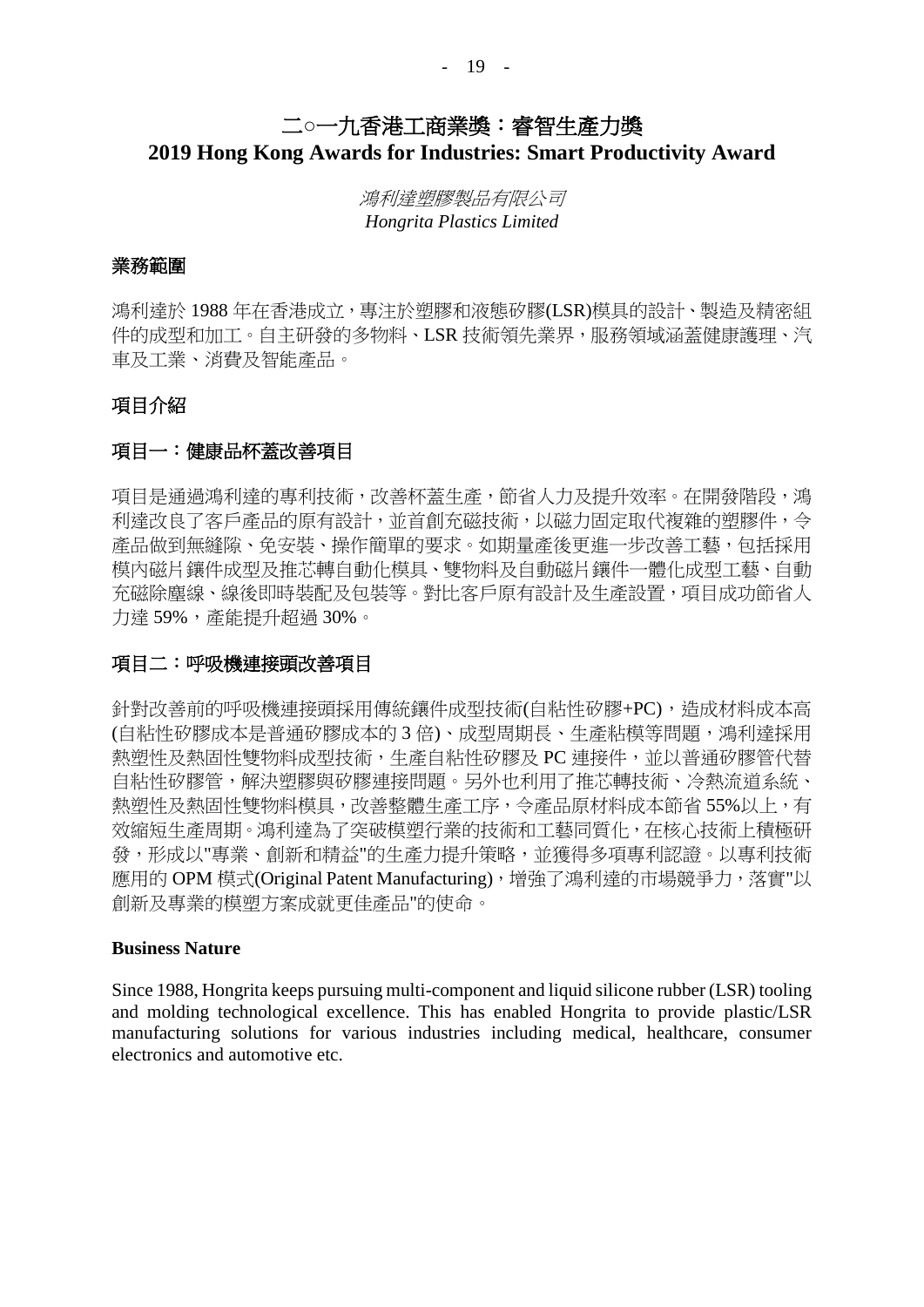## 二**○**一九香港工商業獎:睿智生產力獎 **2019 Hong Kong Awards for Industries: Smart Productivity Award**

鴻利達塑膠製品有限公司 *Hongrita Plastics Limited*

#### 業務範圍

鴻利達於 1988年在香港成立,專注於塑膠和液態矽膠(LSR)模具的設計、製造及精密組 件的成型和加工。自主研發的多物料、LSR 技術領先業界,服務領域涵蓋健康護理、汽 車及工業、消費及智能產品。

#### 項目介紹

#### 項目一:健康品杯蓋改善項目

項目是通過鴻利達的專利技術,改善杯蓋生產,節省人力及提升效率。在開發階段,鴻 利達改良了客戶產品的原有設計,並首創充磁技術,以磁力固定取代複雜的塑膠件,令 產品做到無縫隙、免安裝、操作簡單的要求。如期量產後更進一步改善工藝,包括採用 模內磁片鑲件成型及推芯轉自動化模具、雙物料及自動磁片鑲件一體化成型工藝、自動 充磁除塵線、線後即時裝配及包裝等。對比客戶原有設計及生產設置,項目成功節省人 力達 59%,產能提升超過 30%。

#### 項目二:呼吸機連接頭改善項目

針對改善前的呼吸機連接頭採用傳統鑲件成型技術(自粘性矽膠+PC),造成材料成本高 (自粘性矽膠成本是普通矽膠成本的 3倍)、成型周期長、生產粘模等問題,鴻利達採用 熱塑性及熱固性雙物料成型技術,生產自粘性矽膠及 PC 連接件,並以普通矽膠管代替 自粘性矽膠管,解決塑膠與矽膠連接問題。另外也利用了推芯轉技術、冷熱流道系統、 熱塑性及熱固性雙物料模具,改善整體生產工序,令產品原材料成本節省 55%以上,有 效縮短生產周期。鴻利達為了突破模塑行業的技術和工藝同質化,在核心技術上積極研 發,形成以"專業、創新和精益"的生產力提升策略,並獲得多項專利認證。以專利技術 應用的 OPM 模式(Original Patent Manufacturing),增強了鴻利達的市場競爭力,落實"以 創新及專業的模塑方案成就更佳產品"的使命。

#### **Business Nature**

Since 1988, Hongrita keeps pursuing multi-component and liquid silicone rubber (LSR) tooling and molding technological excellence. This has enabled Hongrita to provide plastic/LSR manufacturing solutions for various industries including medical, healthcare, consumer electronics and automotive etc.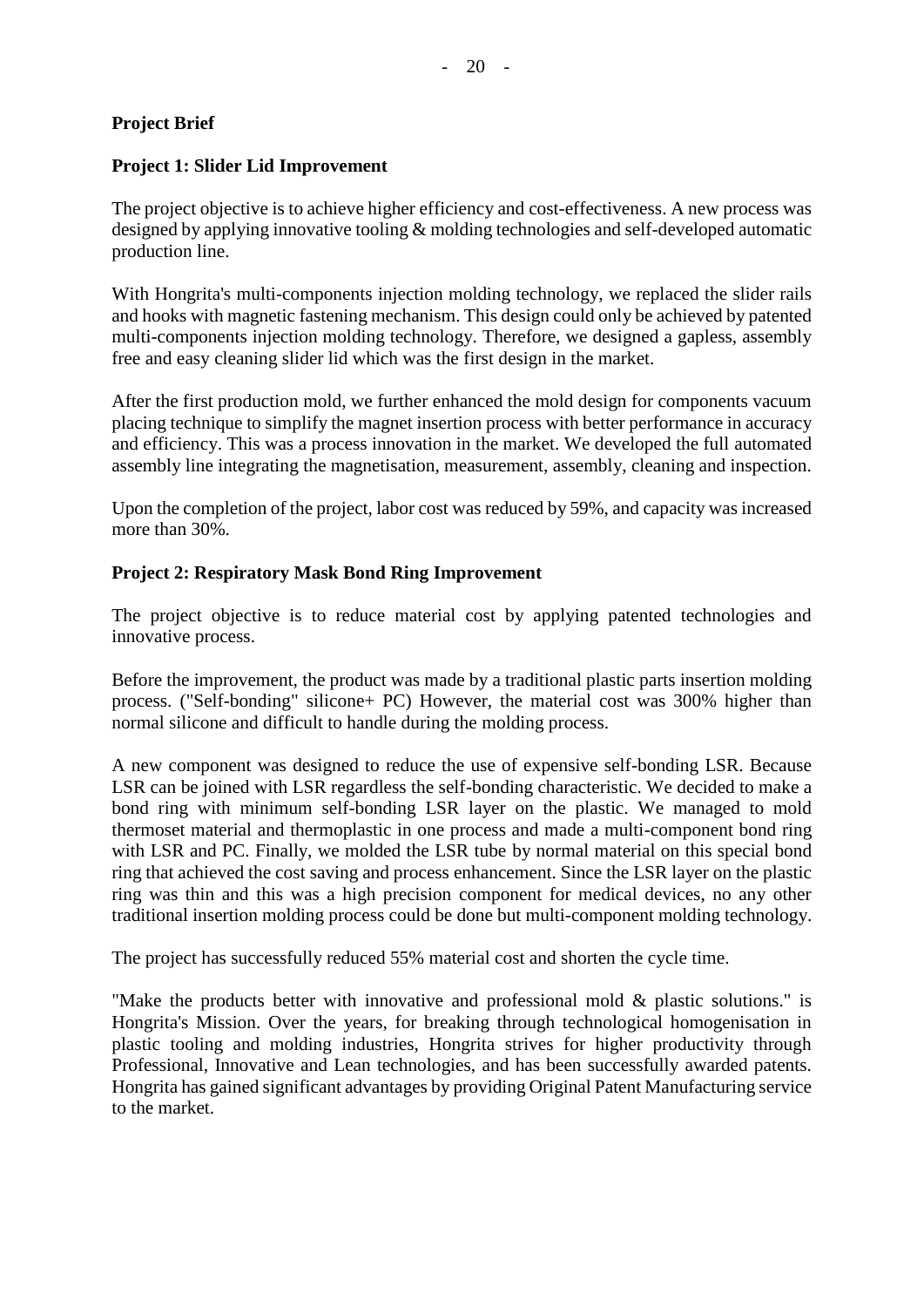### **Project Brief**

### **Project 1: Slider Lid Improvement**

The project objective is to achieve higher efficiency and cost-effectiveness. A new process was designed by applying innovative tooling & molding technologies and self-developed automatic production line.

With Hongrita's multi-components injection molding technology, we replaced the slider rails and hooks with magnetic fastening mechanism. This design could only be achieved by patented multi-components injection molding technology. Therefore, we designed a gapless, assembly free and easy cleaning slider lid which was the first design in the market.

After the first production mold, we further enhanced the mold design for components vacuum placing technique to simplify the magnet insertion process with better performance in accuracy and efficiency. This was a process innovation in the market. We developed the full automated assembly line integrating the magnetisation, measurement, assembly, cleaning and inspection.

Upon the completion of the project, labor cost was reduced by 59%, and capacity was increased more than 30%.

### **Project 2: Respiratory Mask Bond Ring Improvement**

The project objective is to reduce material cost by applying patented technologies and innovative process.

Before the improvement, the product was made by a traditional plastic parts insertion molding process. ("Self-bonding" silicone+ PC) However, the material cost was 300% higher than normal silicone and difficult to handle during the molding process.

A new component was designed to reduce the use of expensive self-bonding LSR. Because LSR can be joined with LSR regardless the self-bonding characteristic. We decided to make a bond ring with minimum self-bonding LSR layer on the plastic. We managed to mold thermoset material and thermoplastic in one process and made a multi-component bond ring with LSR and PC. Finally, we molded the LSR tube by normal material on this special bond ring that achieved the cost saving and process enhancement. Since the LSR layer on the plastic ring was thin and this was a high precision component for medical devices, no any other traditional insertion molding process could be done but multi-component molding technology.

The project has successfully reduced 55% material cost and shorten the cycle time.

"Make the products better with innovative and professional mold & plastic solutions." is Hongrita's Mission. Over the years, for breaking through technological homogenisation in plastic tooling and molding industries, Hongrita strives for higher productivity through Professional, Innovative and Lean technologies, and has been successfully awarded patents. Hongrita has gained significant advantages by providing Original Patent Manufacturing service to the market.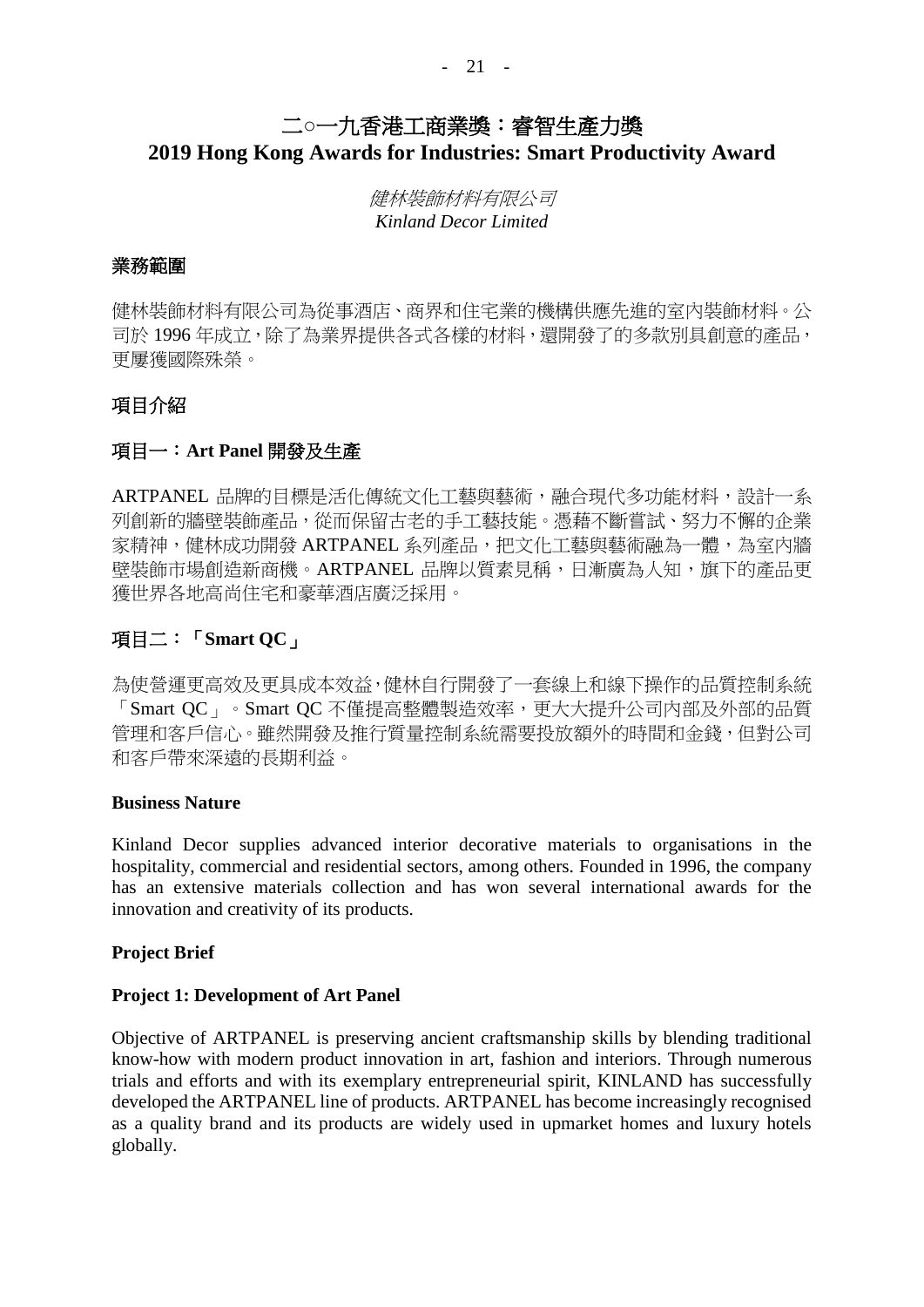## 二**○**一九香港工商業獎:睿智生產力獎 **2019 Hong Kong Awards for Industries: Smart Productivity Award**

健林裝飾材料有限公司 *Kinland Decor Limited*

#### 業務範圍

健林裝飾材料有限公司為從事酒店、商界和住宅業的機構供應先進的室內裝飾材料。公 司於1996年成立,除了為業界提供各式各樣的材料,還開發了的多款別具創意的產品, 更屢獲國際殊榮。

### 項目介紹

### 項目一:**Art Panel** 開發及生產

ARTPANEL 品牌的目標是活化傳統文化工藝與藝術,融合現代多功能材料,設計一系 列創新的牆壁裝飾產品,從而保留古老的手工藝技能。憑藉不斷嘗試、努力不懈的企業 家精神,健林成功開發 ARTPANEL 系列產品,把文化工藝與藝術融為一體,為室內牆 壁裝飾市場創造新商機。ARTPANEL 品牌以質素見稱,日漸廣為人知,旗下的產品更 獲世界各地高尚住宅和豪華酒店廣泛採用。

### 項目二:「**Smart QC**」

為使營運更高效及更具成本效益,健林自行開發了一套線上和線下操作的品質控制系統 「Smart QC」。Smart QC 不僅提高整體製造效率,更大大提升公司內部及外部的品質 管理和客戶信心。雖然開發及推行質量控制系統需要投放額外的時間和金錢,但對公司 和客戶帶來深遠的長期利益。

#### **Business Nature**

Kinland Decor supplies advanced interior decorative materials to organisations in the hospitality, commercial and residential sectors, among others. Founded in 1996, the company has an extensive materials collection and has won several international awards for the innovation and creativity of its products.

#### **Project Brief**

#### **Project 1: Development of Art Panel**

Objective of ARTPANEL is preserving ancient craftsmanship skills by blending traditional know-how with modern product innovation in art, fashion and interiors. Through numerous trials and efforts and with its exemplary entrepreneurial spirit, KINLAND has successfully developed the ARTPANEL line of products. ARTPANEL has become increasingly recognised as a quality brand and its products are widely used in upmarket homes and luxury hotels globally.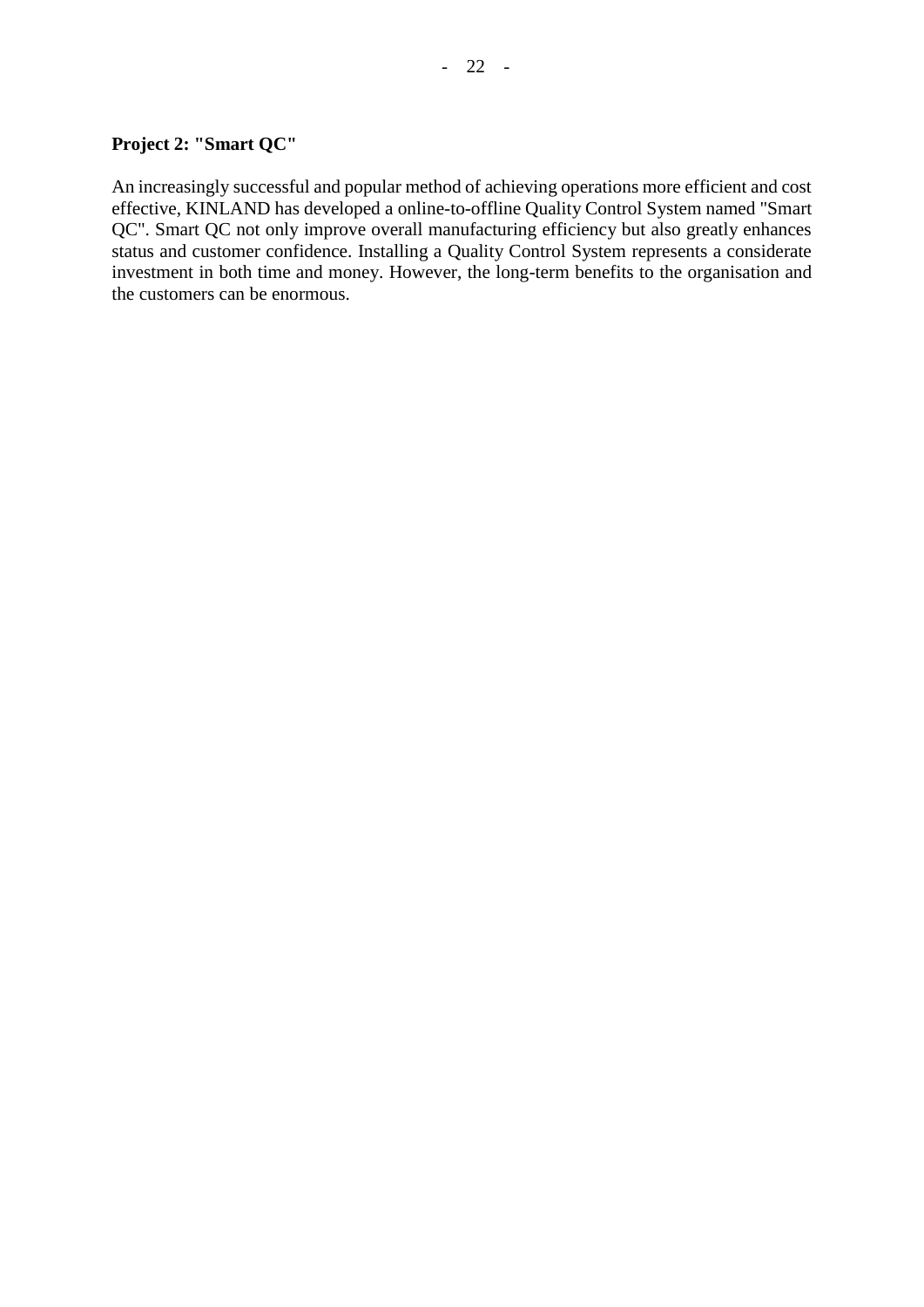#### **Project 2: "Smart QC"**

An increasingly successful and popular method of achieving operations more efficient and cost effective, KINLAND has developed a online-to-offline Quality Control System named "Smart QC". Smart QC not only improve overall manufacturing efficiency but also greatly enhances status and customer confidence. Installing a Quality Control System represents a considerate investment in both time and money. However, the long-term benefits to the organisation and the customers can be enormous.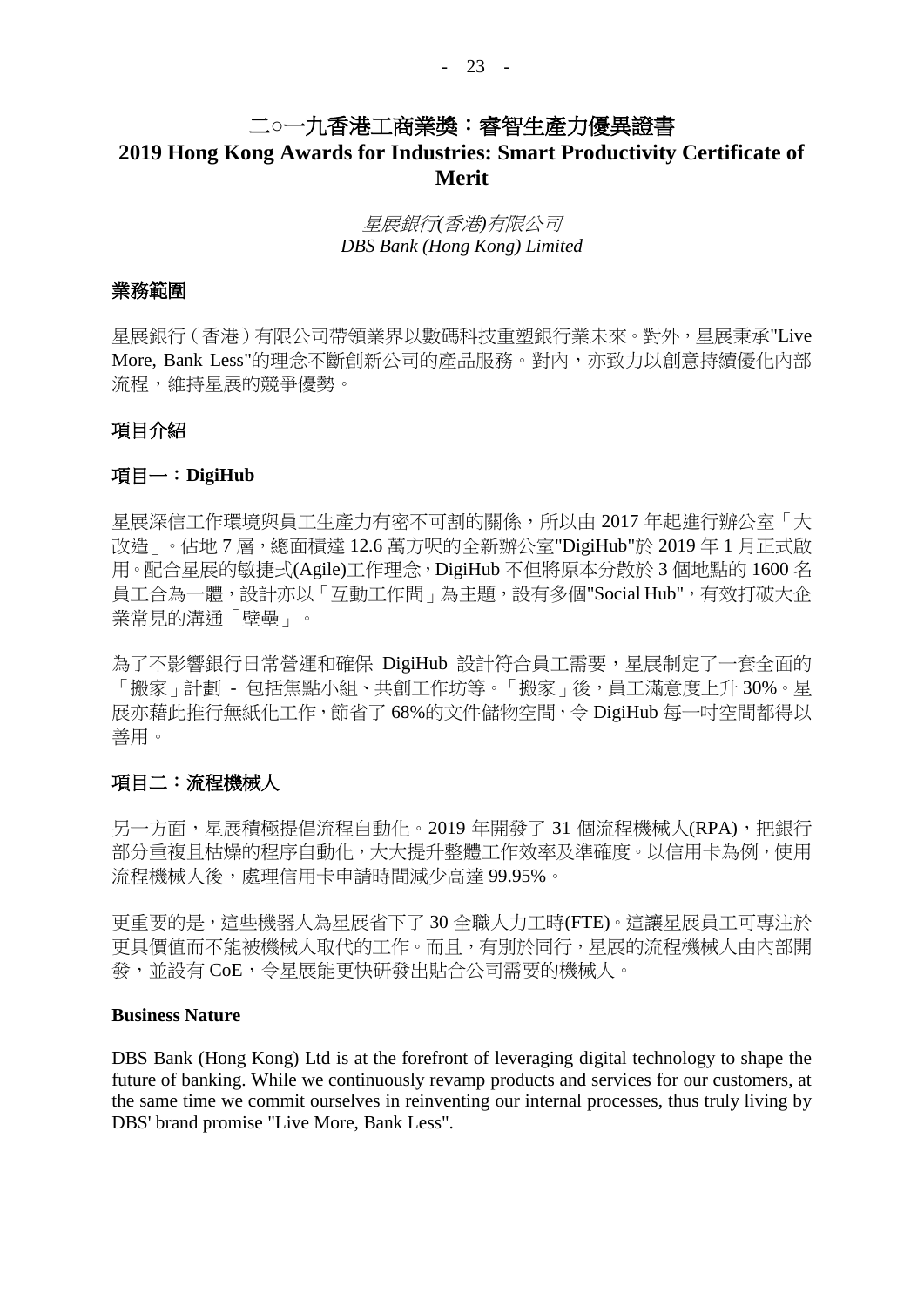## 二**○**一九香港工商業獎:睿智生產力優異證書

## **2019 Hong Kong Awards for Industries: Smart Productivity Certificate of Merit**

#### 星展銀行*(*香港*)*有限公司 *DBS Bank (Hong Kong) Limited*

#### 業務範圍

星展銀行(香港)有限公司帶領業界以數碼科技重塑銀行業未來。對外,星展秉承"Live More, Bank Less"的理念不斷創新公司的產品服務。對內,亦致力以創意持續優化內部 流程,維持星展的競爭優勢。

#### 項目介紹

#### 項目一:**DigiHub**

星展深信工作環境與員工生產力有密不可割的關係,所以由 2017 年起進行辦公室「大 改造」。佔地 7 層,總面積達 12.6 萬方呎的全新辦公室"DigiHub"於 2019 年 1 月正式啟 用。配合星展的敏捷式(Agile)工作理念,DigiHub 不但將原本分散於 3 個地點的 1600 名 員工合為一體,設計亦以「互動工作間」為主題,設有多個"Social Hub",有效打破大企 業常見的溝通「壁壘」。

為了不影響銀行日常營運和確保 DigiHub 設計符合員工需要,星展制定了一套全面的 「搬家」計劃 - 包括焦點小組、共創工作坊等。「搬家」後,員工滿意度上升 30%。星 展亦藉此推行無紙化工作,節省了 68%的文件儲物空間,令 DigiHub 每一吋空間都得以 善用。

#### 項目二:流程機械人

另一方面,星展積極提倡流程自動化。2019 年開發了 31 個流程機械人(RPA),把銀行 部分重複且枯燥的程序自動化,大大提升整體工作效率及準確度。以信用卡為例,使用 流程機械人後,處理信用卡申請時間減少高達 99.95%。

更重要的是,這些機器人為星展省下了 30 全職人力工時(FTE)。這讓星展員工可專注於 更具價值而不能被機械人取代的工作。而且,有別於同行,星展的流程機械人由內部開 發,並設有 CoE,令星展能更快研發出貼合公司需要的機械人。

#### **Business Nature**

DBS Bank (Hong Kong) Ltd is at the forefront of leveraging digital technology to shape the future of banking. While we continuously revamp products and services for our customers, at the same time we commit ourselves in reinventing our internal processes, thus truly living by DBS' brand promise "Live More, Bank Less".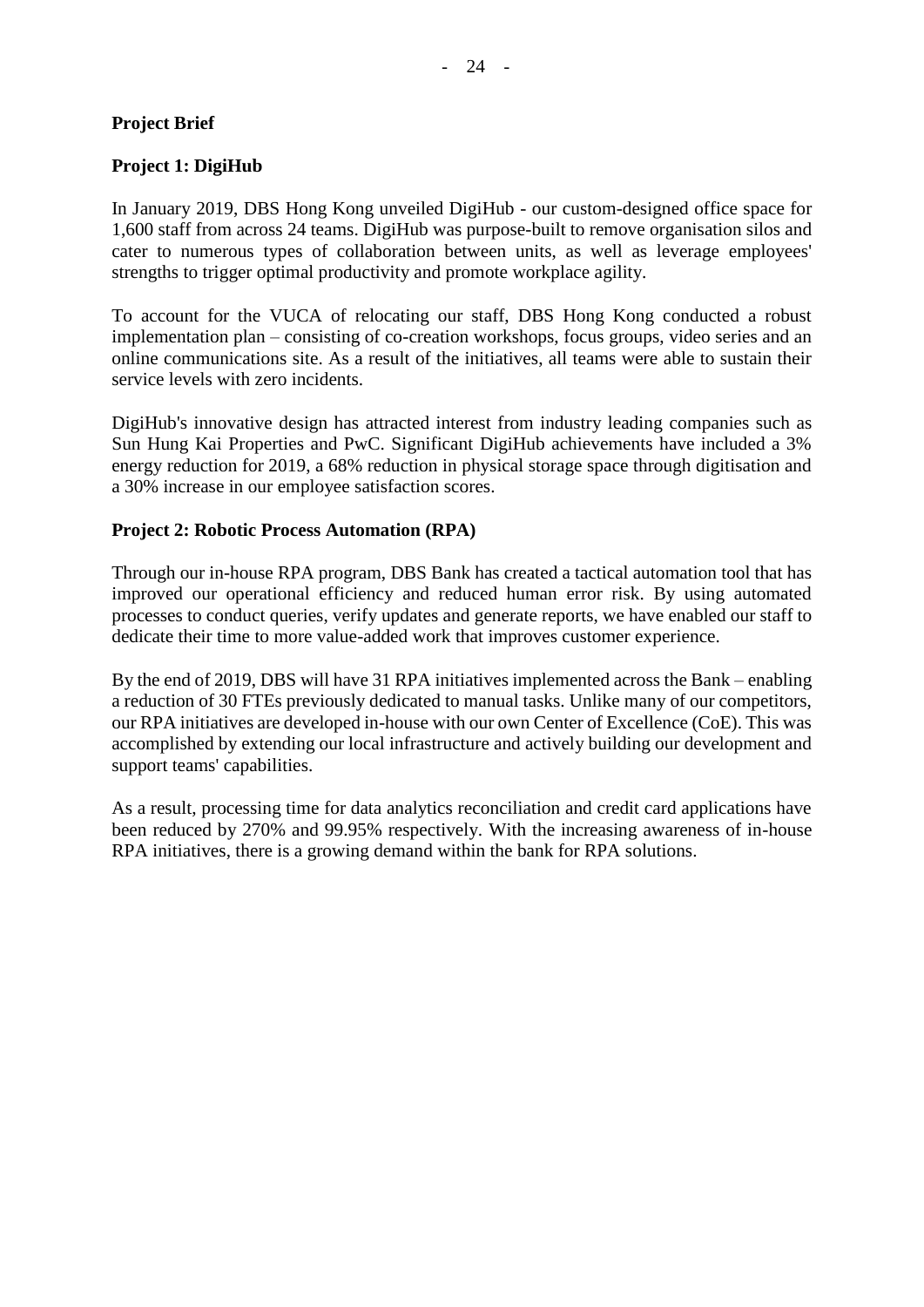#### **Project Brief**

#### **Project 1: DigiHub**

In January 2019, DBS Hong Kong unveiled DigiHub - our custom-designed office space for 1,600 staff from across 24 teams. DigiHub was purpose-built to remove organisation silos and cater to numerous types of collaboration between units, as well as leverage employees' strengths to trigger optimal productivity and promote workplace agility.

To account for the VUCA of relocating our staff, DBS Hong Kong conducted a robust implementation plan – consisting of co-creation workshops, focus groups, video series and an online communications site. As a result of the initiatives, all teams were able to sustain their service levels with zero incidents.

DigiHub's innovative design has attracted interest from industry leading companies such as Sun Hung Kai Properties and PwC. Significant DigiHub achievements have included a 3% energy reduction for 2019, a 68% reduction in physical storage space through digitisation and a 30% increase in our employee satisfaction scores.

#### **Project 2: Robotic Process Automation (RPA)**

Through our in-house RPA program, DBS Bank has created a tactical automation tool that has improved our operational efficiency and reduced human error risk. By using automated processes to conduct queries, verify updates and generate reports, we have enabled our staff to dedicate their time to more value-added work that improves customer experience.

By the end of 2019, DBS will have 31 RPA initiatives implemented across the Bank – enabling a reduction of 30 FTEs previously dedicated to manual tasks. Unlike many of our competitors, our RPA initiatives are developed in-house with our own Center of Excellence (CoE). This was accomplished by extending our local infrastructure and actively building our development and support teams' capabilities.

As a result, processing time for data analytics reconciliation and credit card applications have been reduced by 270% and 99.95% respectively. With the increasing awareness of in-house RPA initiatives, there is a growing demand within the bank for RPA solutions.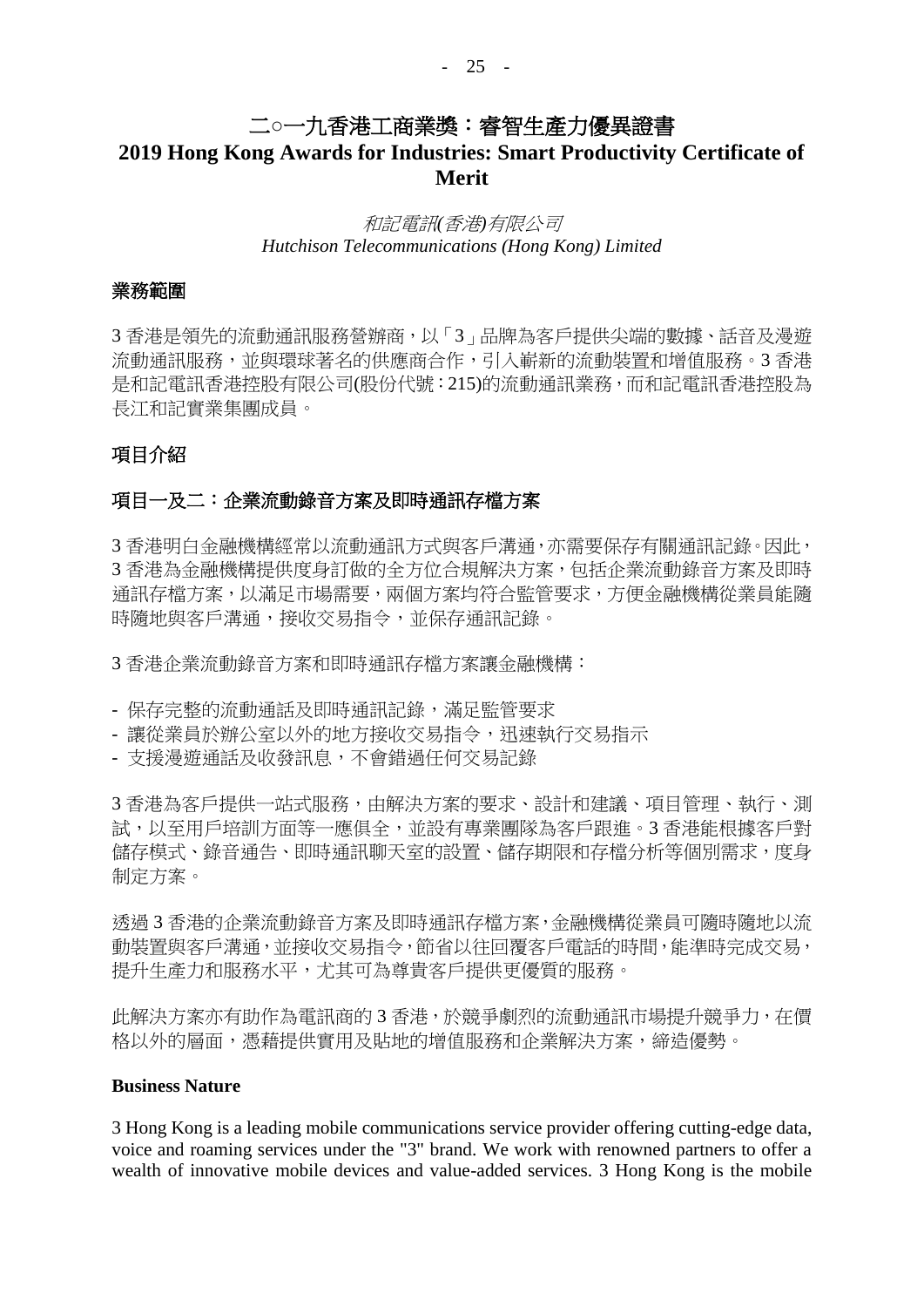### 二**○**一九香港工商業獎:睿智生產力優異證書

## **2019 Hong Kong Awards for Industries: Smart Productivity Certificate of Merit**

#### 和記電訊*(*香港*)*有限公司 *Hutchison Telecommunications (Hong Kong) Limited*

#### 業務範圍

3 香港是領先的流動通訊服務營辦商,以「3」品牌為客戶提供尖端的數據、話音及漫遊 流動通訊服務,並與環球著名的供應商合作,引入嶄新的流動裝置和增值服務。3 香港 是和記電訊香港控股有限公司(股份代號:215)的流動通訊業務,而和記電訊香港控股為 長江和記實業集團成員。

### 項目介紹

#### 項目一及二:企業流動錄音方案及即時通訊存檔方案

3 香港明白金融機構經常以流動通訊方式與客戶溝通,亦需要保存有關通訊記錄。因此, 3 香港為金融機構提供度身訂做的全方位合規解決方案,包括企業流動錄音方案及即時 通訊存檔方案,以滿足市場需要,兩個方案均符合監管要求,方便金融機構從業員能隨 時隨地與客戶溝通,接收交易指令,並保存通訊記錄。

3 香港企業流動錄音方案和即時通訊存檔方案讓金融機構:

- 保存完整的流動通話及即時通訊記錄,滿足監管要求
- 讓從業員於辦公室以外的地方接收交易指令,迅速執行交易指示
- 支援漫遊通話及收發訊息,不會錯過任何交易記錄

3 香港為客戶提供一站式服務,由解決方案的要求、設計和建議、項目管理、執行、測 試,以至用戶培訓方面等一應俱全,並設有專業團隊為客戶跟進。3 香港能根據客戶對 儲存模式、錄音通告、即時通訊聊天室的設置、儲存期限和存檔分析等個別需求,度身 制定方案。

透過 3 香港的企業流動錄音方案及即時通訊存檔方案,金融機構從業員可隨時隨地以流 動裝置與客戶溝通,並接收交易指令,節省以往回覆客戶電話的時間,能準時完成交易, 提升生產力和服務水平,尤其可為尊貴客戶提供更優質的服務。

此解決方案亦有助作為電訊商的 3 香港,於競爭劇烈的流動通訊市場提升競爭力,在價 格以外的層面,憑藉提供實用及貼地的增值服務和企業解決方案,締造優勢。

#### **Business Nature**

3 Hong Kong is a leading mobile communications service provider offering cutting-edge data, voice and roaming services under the "3" brand. We work with renowned partners to offer a wealth of innovative mobile devices and value-added services. 3 Hong Kong is the mobile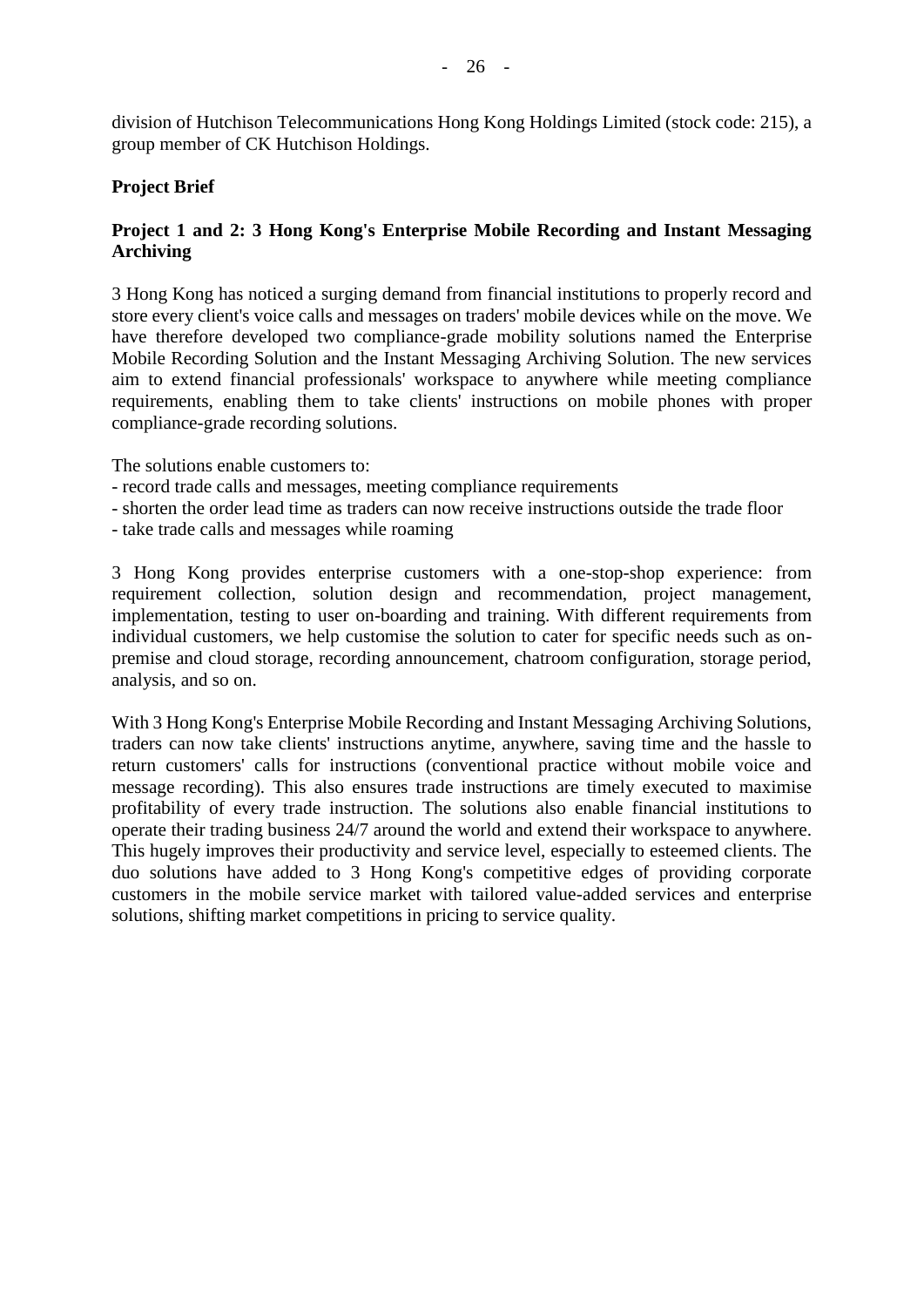division of Hutchison Telecommunications Hong Kong Holdings Limited (stock code: 215), a group member of CK Hutchison Holdings.

#### **Project Brief**

#### **Project 1 and 2: 3 Hong Kong's Enterprise Mobile Recording and Instant Messaging Archiving**

3 Hong Kong has noticed a surging demand from financial institutions to properly record and store every client's voice calls and messages on traders' mobile devices while on the move. We have therefore developed two compliance-grade mobility solutions named the Enterprise Mobile Recording Solution and the Instant Messaging Archiving Solution. The new services aim to extend financial professionals' workspace to anywhere while meeting compliance requirements, enabling them to take clients' instructions on mobile phones with proper compliance-grade recording solutions.

The solutions enable customers to:

- record trade calls and messages, meeting compliance requirements
- shorten the order lead time as traders can now receive instructions outside the trade floor
- take trade calls and messages while roaming

3 Hong Kong provides enterprise customers with a one-stop-shop experience: from requirement collection, solution design and recommendation, project management, implementation, testing to user on-boarding and training. With different requirements from individual customers, we help customise the solution to cater for specific needs such as onpremise and cloud storage, recording announcement, chatroom configuration, storage period, analysis, and so on.

With 3 Hong Kong's Enterprise Mobile Recording and Instant Messaging Archiving Solutions, traders can now take clients' instructions anytime, anywhere, saving time and the hassle to return customers' calls for instructions (conventional practice without mobile voice and message recording). This also ensures trade instructions are timely executed to maximise profitability of every trade instruction. The solutions also enable financial institutions to operate their trading business 24/7 around the world and extend their workspace to anywhere. This hugely improves their productivity and service level, especially to esteemed clients. The duo solutions have added to 3 Hong Kong's competitive edges of providing corporate customers in the mobile service market with tailored value-added services and enterprise solutions, shifting market competitions in pricing to service quality.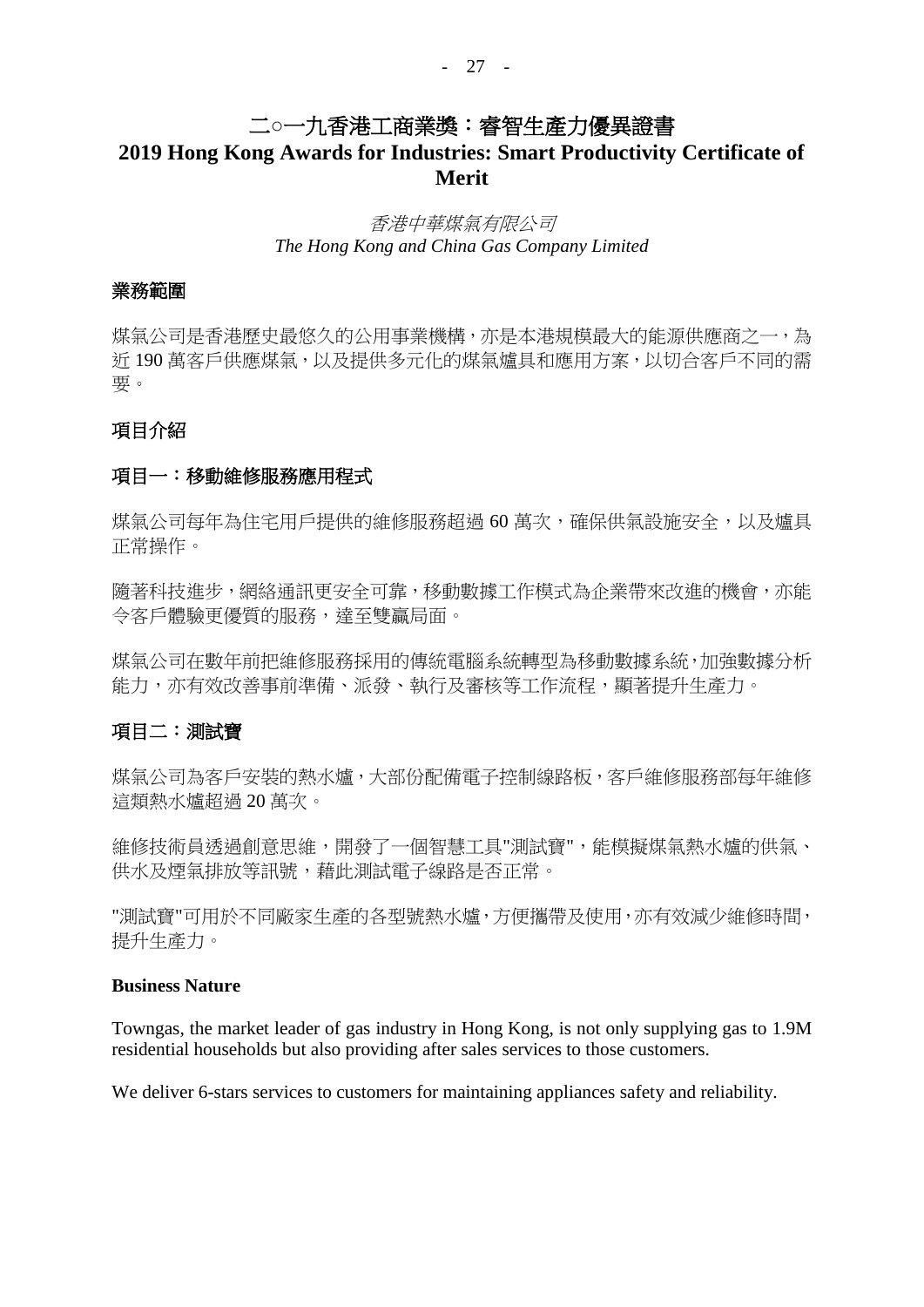## 二**○**一九香港工商業獎:睿智生產力優異證書

## **2019 Hong Kong Awards for Industries: Smart Productivity Certificate of Merit**

#### 香港中華煤氣有限公司 *The Hong Kong and China Gas Company Limited*

#### 業務範圍

煤氣公司是香港歷史最悠久的公用事業機構,亦是本港規模最大的能源供應商之一,為 近 190 萬客戶供應煤氣,以及提供多元化的煤氣爐具和應用方案,以切合客戶不同的需 要。

#### 項目介紹

#### 項目一:移動維修服務應用程式

煤氣公司每年為住宅用戶提供的維修服務超過60萬次,確保供氣設施安全,以及爐具 正常操作。

隨著科技進步,網絡通訊更安全可靠,移動數據工作模式為企業帶來改進的機會,亦能 令客戶體驗更優質的服務,達至雙贏局面。

煤氣公司在數年前把維修服務採用的傳統電腦系統轉型為移動數據系統,加強數據分析 能力,亦有效改善事前準備、派發、執行及審核等工作流程,顯著提升生產力。

#### 項目二:測試寶

煤氣公司為客戶安裝的熱水爐,大部份配備電子控制線路板,客戶維修服務部每年維修 這類熱水爐超過 20 萬次。

維修技術員透過創意思維,開發了一個智慧工具"測試寶",能模擬煤氣熱水爐的供氣、 供水及煙氣排放等訊號,藉此測試電子線路是否正常。

"測試寶"可用於不同廠家生產的各型號熱水爐,方便攜帶及使用,亦有效減少維修時間, 提升生產力。

#### **Business Nature**

Towngas, the market leader of gas industry in Hong Kong, is not only supplying gas to 1.9M residential households but also providing after sales services to those customers.

We deliver 6-stars services to customers for maintaining appliances safety and reliability.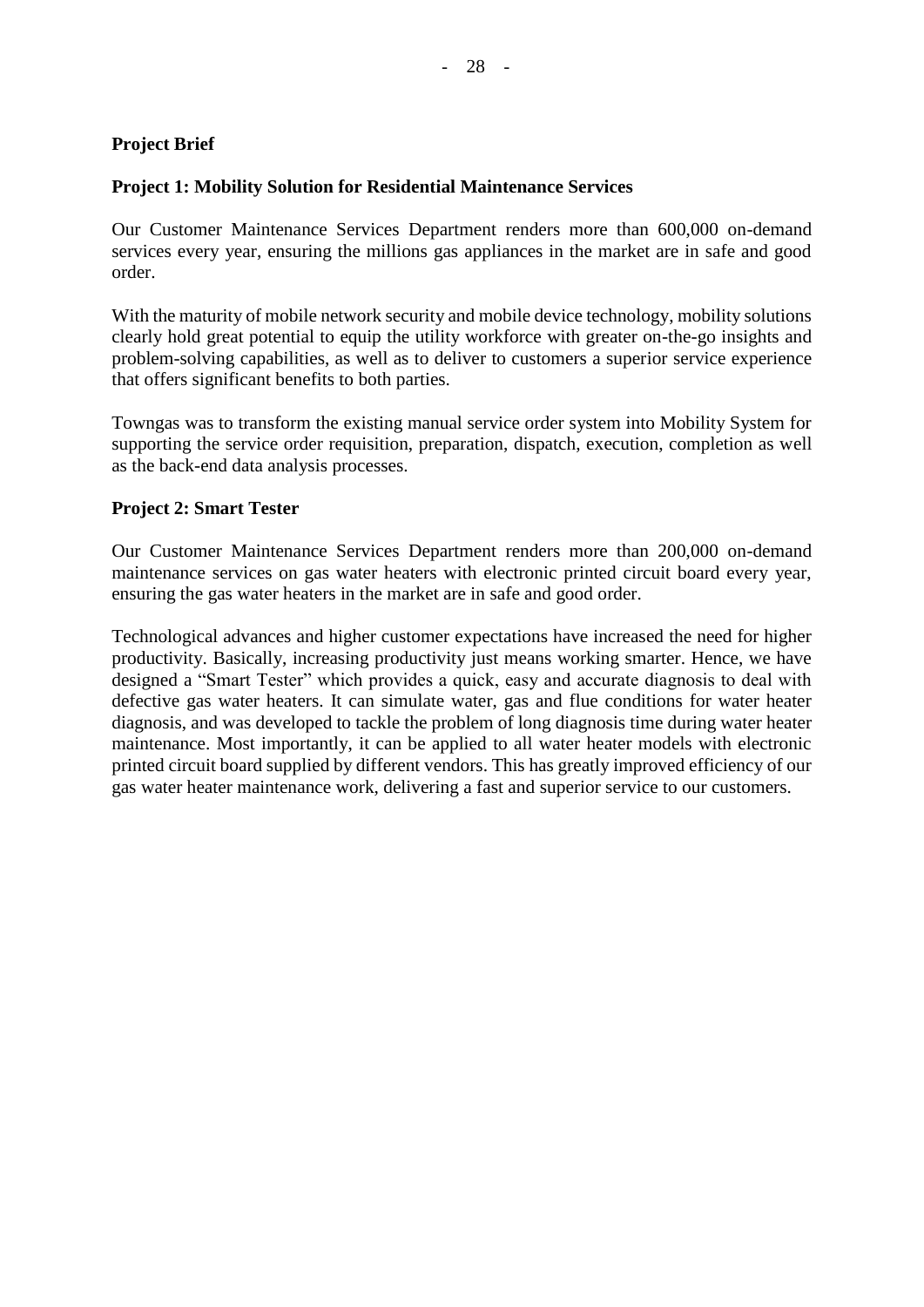#### **Project Brief**

#### **Project 1: Mobility Solution for Residential Maintenance Services**

Our Customer Maintenance Services Department renders more than 600,000 on-demand services every year, ensuring the millions gas appliances in the market are in safe and good order.

With the maturity of mobile network security and mobile device technology, mobility solutions clearly hold great potential to equip the utility workforce with greater on-the-go insights and problem-solving capabilities, as well as to deliver to customers a superior service experience that offers significant benefits to both parties.

Towngas was to transform the existing manual service order system into Mobility System for supporting the service order requisition, preparation, dispatch, execution, completion as well as the back-end data analysis processes.

#### **Project 2: Smart Tester**

Our Customer Maintenance Services Department renders more than 200,000 on-demand maintenance services on gas water heaters with electronic printed circuit board every year, ensuring the gas water heaters in the market are in safe and good order.

Technological advances and higher customer expectations have increased the need for higher productivity. Basically, increasing productivity just means working smarter. Hence, we have designed a "Smart Tester" which provides a quick, easy and accurate diagnosis to deal with defective gas water heaters. It can simulate water, gas and flue conditions for water heater diagnosis, and was developed to tackle the problem of long diagnosis time during water heater maintenance. Most importantly, it can be applied to all water heater models with electronic printed circuit board supplied by different vendors. This has greatly improved efficiency of our gas water heater maintenance work, delivering a fast and superior service to our customers.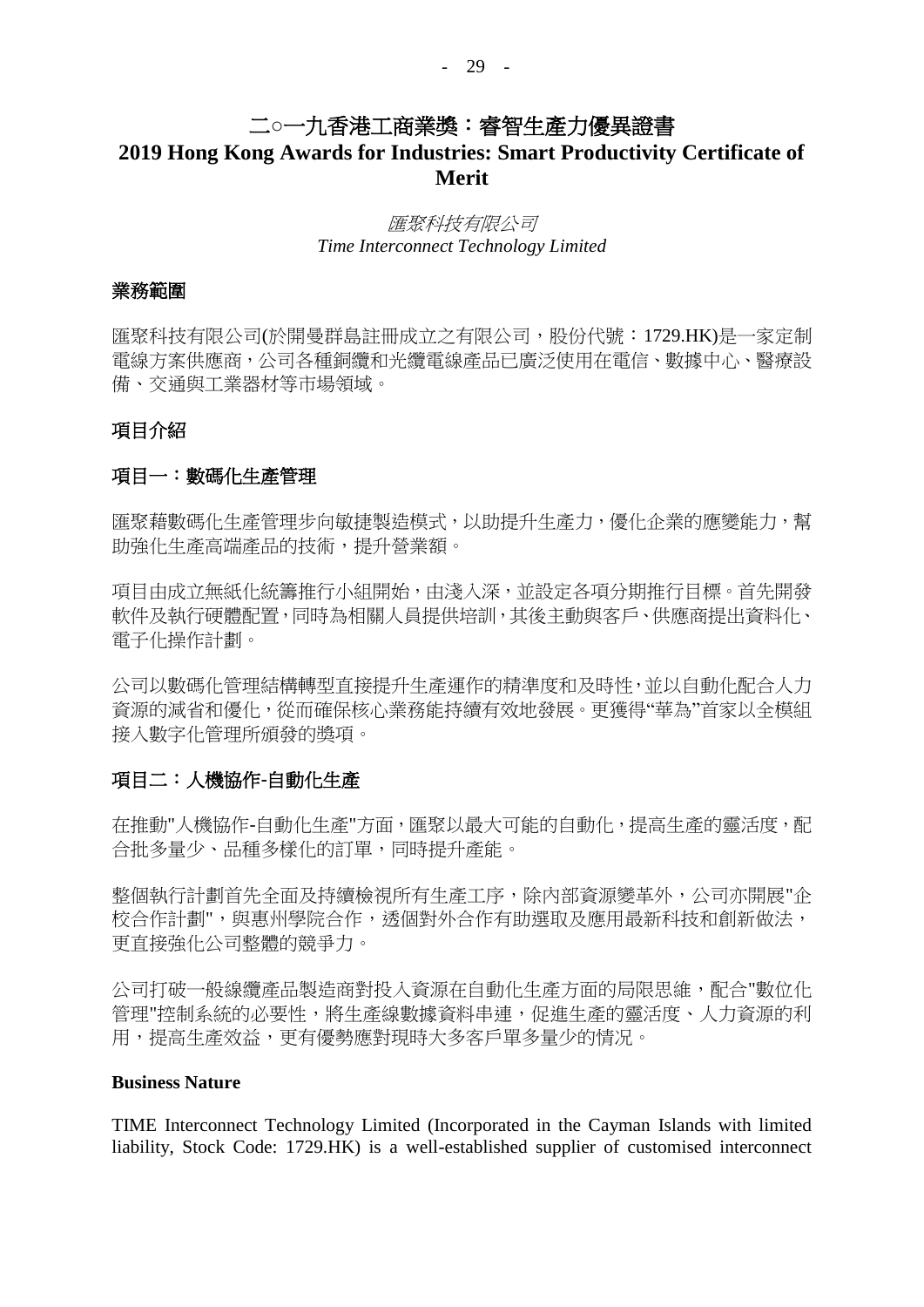## 二**○**一九香港工商業獎:睿智生產力優異證書

## **2019 Hong Kong Awards for Industries: Smart Productivity Certificate of Merit**

#### 匯聚科技有限公司 *Time Interconnect Technology Limited*

#### 業務範圍

匯聚科技有限公司(於開曼群島註冊成立之有限公司,股份代號:1729.HK)是一家定制 電線方案供應商,公司各種銅纜和光纜電線產品已廣泛使用在電信、數據中心、醫療設 備、交通與工業器材等市場領域。

#### 項目介紹

#### 項目一:數碼化生產管理

匯聚藉數碼化生產管理步向敏捷製造模式,以助提升生產力,優化企業的應變能力,幫 助強化生產高端產品的技術,提升營業額。

項目由成立無紙化統籌推行小組開始,由淺入深,並設定各項分期推行目標。首先開發 軟件及執行硬體配置,同時為相關人員提供培訓,其後主動與客戶、供應商提出資料化、 電子化操作計劃。

公司以數碼化管理結構轉型直接提升生產運作的精準度和及時性,並以自動化配合人力 資源的減省和優化,從而確保核心業務能持續有效地發展。更獲得"華為"首家以全模組 接入數字化管理所頒發的獎項。

#### 項目二:人機協作**-**自動化生產

在推動"人機協作-自動化生產"方面,匯聚以最大可能的自動化,提高生產的靈活度,配 合批多量少、品種多樣化的訂單,同時提升產能。

整個執行計劃首先全面及持續檢視所有生產工序,除內部資源變革外,公司亦開展"企 校合作計劃",與惠州學院合作,透個對外合作有助選取及應用最新科技和創新做法, 更直接強化公司整體的競爭力。

公司打破一般線纜產品製造商對投入資源在自動化生產方面的局限思維,配合"數位化 管理"控制系統的必要性,將生產線數據資料串連,促進生產的靈活度、人力資源的利 用,提高生產效益,更有優勢應對現時大多客戶單多量少的情况。

#### **Business Nature**

TIME Interconnect Technology Limited (Incorporated in the Cayman Islands with limited liability, Stock Code: 1729.HK) is a well-established supplier of customised interconnect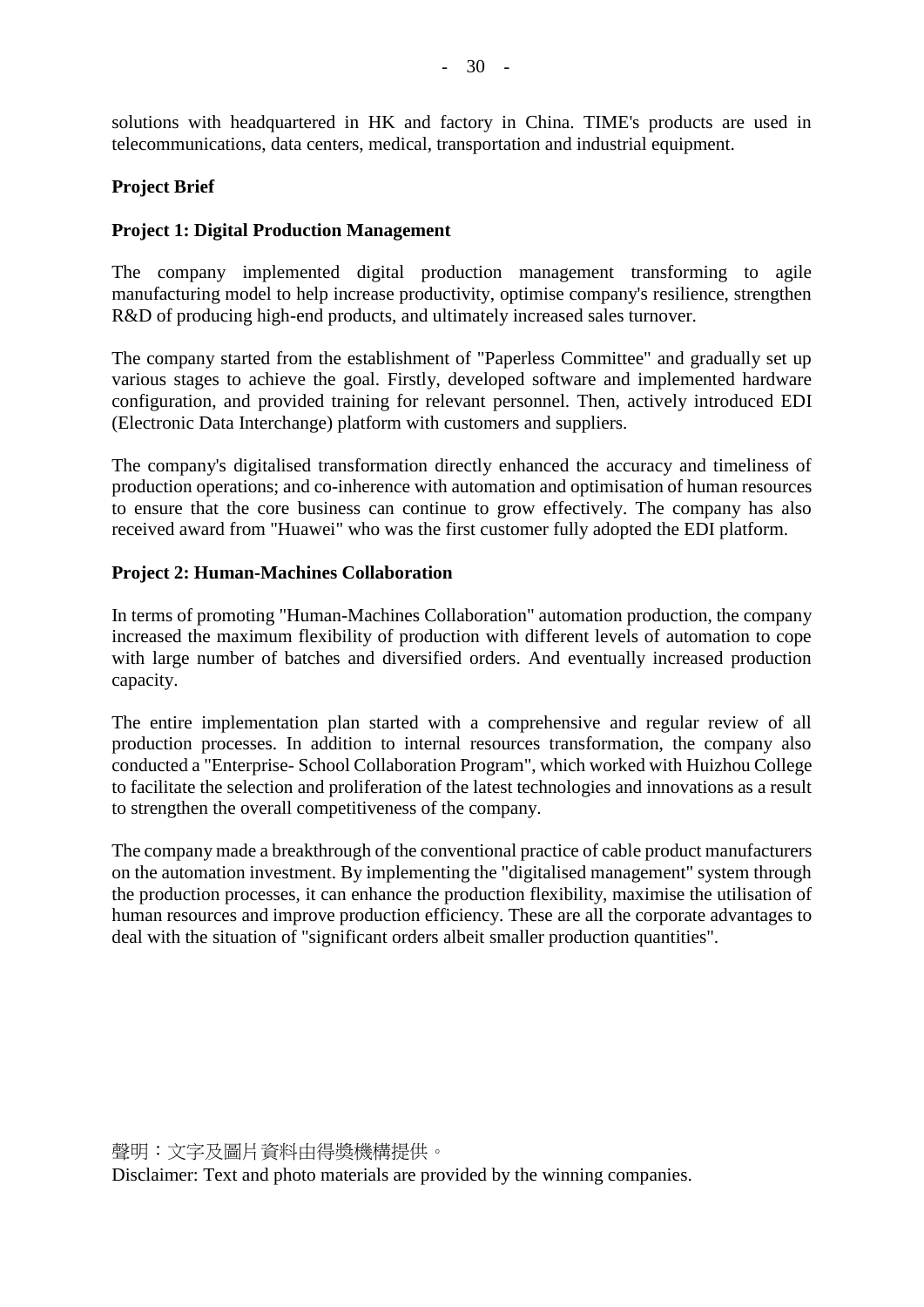solutions with headquartered in HK and factory in China. TIME's products are used in telecommunications, data centers, medical, transportation and industrial equipment.

#### **Project Brief**

#### **Project 1: Digital Production Management**

The company implemented digital production management transforming to agile manufacturing model to help increase productivity, optimise company's resilience, strengthen R&D of producing high-end products, and ultimately increased sales turnover.

The company started from the establishment of "Paperless Committee" and gradually set up various stages to achieve the goal. Firstly, developed software and implemented hardware configuration, and provided training for relevant personnel. Then, actively introduced EDI (Electronic Data Interchange) platform with customers and suppliers.

The company's digitalised transformation directly enhanced the accuracy and timeliness of production operations; and co-inherence with automation and optimisation of human resources to ensure that the core business can continue to grow effectively. The company has also received award from "Huawei" who was the first customer fully adopted the EDI platform.

#### **Project 2: Human-Machines Collaboration**

In terms of promoting "Human-Machines Collaboration" automation production, the company increased the maximum flexibility of production with different levels of automation to cope with large number of batches and diversified orders. And eventually increased production capacity.

The entire implementation plan started with a comprehensive and regular review of all production processes. In addition to internal resources transformation, the company also conducted a "Enterprise- School Collaboration Program", which worked with Huizhou College to facilitate the selection and proliferation of the latest technologies and innovations as a result to strengthen the overall competitiveness of the company.

The company made a breakthrough of the conventional practice of cable product manufacturers on the automation investment. By implementing the "digitalised management" system through the production processes, it can enhance the production flexibility, maximise the utilisation of human resources and improve production efficiency. These are all the corporate advantages to deal with the situation of "significant orders albeit smaller production quantities".

聲明:文字及圖片資料由得獎機構提供。

Disclaimer: Text and photo materials are provided by the winning companies.